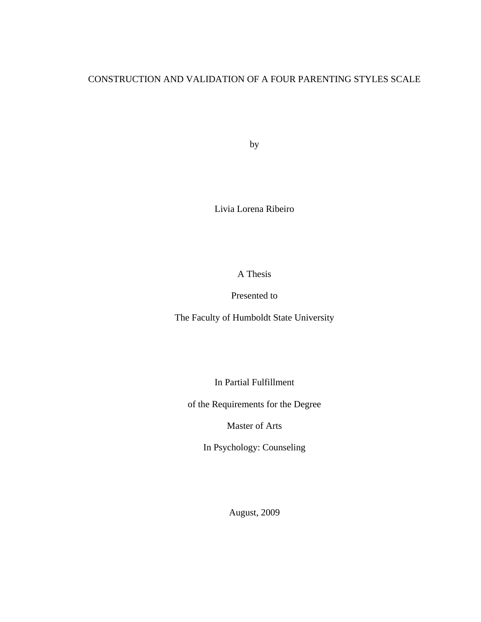# CONSTRUCTION AND VALIDATION OF A FOUR PARENTING STYLES SCALE

by

Livia Lorena Ribeiro

A Thesis

Presented to

The Faculty of Humboldt State University

In Partial Fulfillment

of the Requirements for the Degree

Master of Arts

In Psychology: Counseling

August, 2009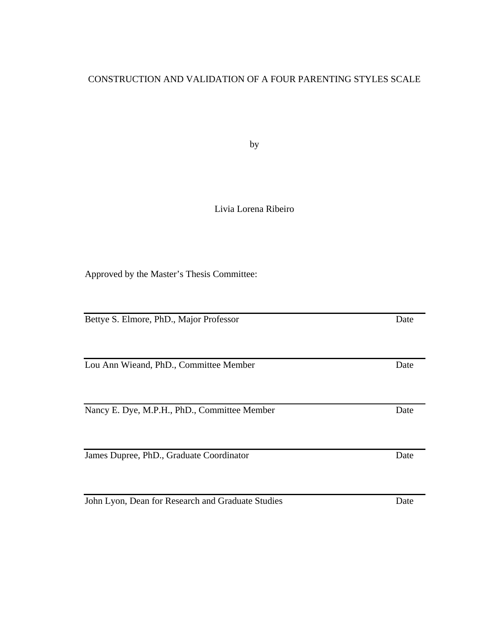## CONSTRUCTION AND VALIDATION OF A FOUR PARENTING STYLES SCALE

by

## Livia Lorena Ribeiro

Approved by the Master's Thesis Committee:

Bettye S. Elmore, PhD., Major Professor Date Lou Ann Wieand, PhD., Committee Member Date Nancy E. Dye, M.P.H., PhD., Committee Member Date James Dupree, PhD., Graduate Coordinator Date

John Lyon, Dean for Research and Graduate Studies Date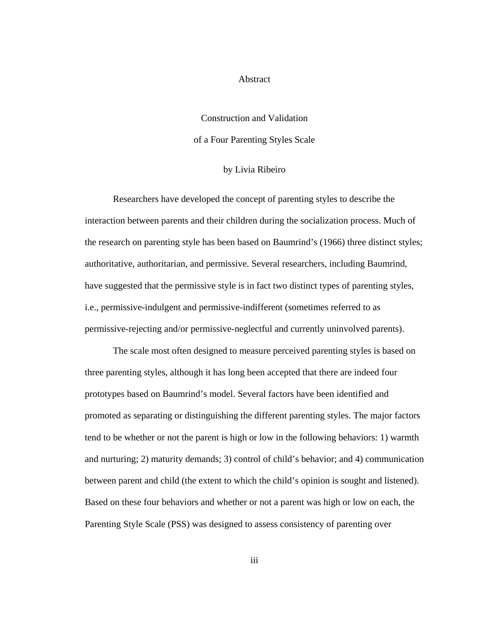#### Abstract

# Construction and Validation of a Four Parenting Styles Scale

#### by Livia Ribeiro

Researchers have developed the concept of parenting styles to describe the interaction between parents and their children during the socialization process. Much of the research on parenting style has been based on Baumrind's (1966) three distinct styles; authoritative, authoritarian, and permissive. Several researchers, including Baumrind, have suggested that the permissive style is in fact two distinct types of parenting styles, i.e., permissive-indulgent and permissive-indifferent (sometimes referred to as permissive-rejecting and/or permissive-neglectful and currently uninvolved parents).

The scale most often designed to measure perceived parenting styles is based on three parenting styles, although it has long been accepted that there are indeed four prototypes based on Baumrind's model. Several factors have been identified and promoted as separating or distinguishing the different parenting styles. The major factors tend to be whether or not the parent is high or low in the following behaviors: 1) warmth and nurturing; 2) maturity demands; 3) control of child's behavior; and 4) communication between parent and child (the extent to which the child's opinion is sought and listened). Based on these four behaviors and whether or not a parent was high or low on each, the Parenting Style Scale (PSS) was designed to assess consistency of parenting over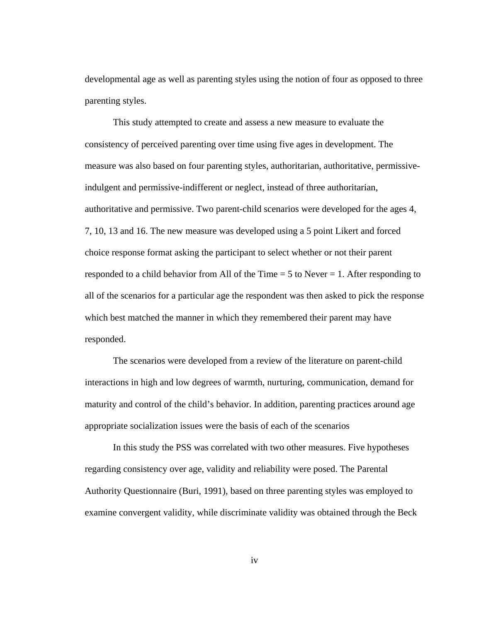developmental age as well as parenting styles using the notion of four as opposed to three parenting styles.

This study attempted to create and assess a new measure to evaluate the consistency of perceived parenting over time using five ages in development. The measure was also based on four parenting styles, authoritarian, authoritative, permissiveindulgent and permissive-indifferent or neglect, instead of three authoritarian, authoritative and permissive. Two parent-child scenarios were developed for the ages 4, 7, 10, 13 and 16. The new measure was developed using a 5 point Likert and forced choice response format asking the participant to select whether or not their parent responded to a child behavior from All of the Time = 5 to Never = 1. After responding to all of the scenarios for a particular age the respondent was then asked to pick the response which best matched the manner in which they remembered their parent may have responded.

The scenarios were developed from a review of the literature on parent-child interactions in high and low degrees of warmth, nurturing, communication, demand for maturity and control of the child's behavior. In addition, parenting practices around age appropriate socialization issues were the basis of each of the scenarios

In this study the PSS was correlated with two other measures. Five hypotheses regarding consistency over age, validity and reliability were posed. The Parental Authority Questionnaire (Buri, 1991), based on three parenting styles was employed to examine convergent validity, while discriminate validity was obtained through the Beck

iv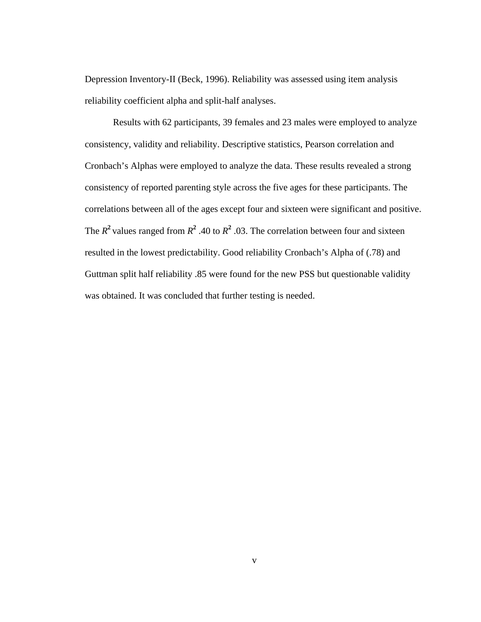Depression Inventory-II (Beck, 1996). Reliability was assessed using item analysis reliability coefficient alpha and split-half analyses.

Results with 62 participants, 39 females and 23 males were employed to analyze consistency, validity and reliability. Descriptive statistics, Pearson correlation and Cronbach's Alphas were employed to analyze the data. These results revealed a strong consistency of reported parenting style across the five ages for these participants. The correlations between all of the ages except four and sixteen were significant and positive. The  $R^2$  values ranged from  $R^2$  .40 to  $R^2$  .03. The correlation between four and sixteen resulted in the lowest predictability. Good reliability Cronbach's Alpha of (.78) and Guttman split half reliability .85 were found for the new PSS but questionable validity was obtained. It was concluded that further testing is needed.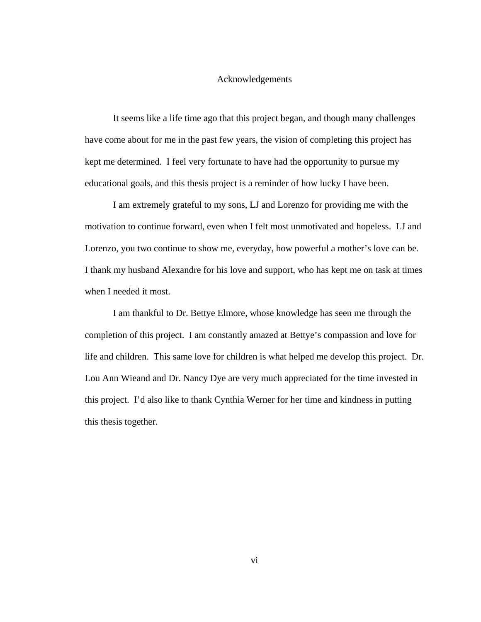#### Acknowledgements

 It seems like a life time ago that this project began, and though many challenges have come about for me in the past few years, the vision of completing this project has kept me determined. I feel very fortunate to have had the opportunity to pursue my educational goals, and this thesis project is a reminder of how lucky I have been.

 I am extremely grateful to my sons, LJ and Lorenzo for providing me with the motivation to continue forward, even when I felt most unmotivated and hopeless. LJ and Lorenzo, you two continue to show me, everyday, how powerful a mother's love can be. I thank my husband Alexandre for his love and support, who has kept me on task at times when I needed it most.

 I am thankful to Dr. Bettye Elmore, whose knowledge has seen me through the completion of this project. I am constantly amazed at Bettye's compassion and love for life and children. This same love for children is what helped me develop this project. Dr. Lou Ann Wieand and Dr. Nancy Dye are very much appreciated for the time invested in this project. I'd also like to thank Cynthia Werner for her time and kindness in putting this thesis together.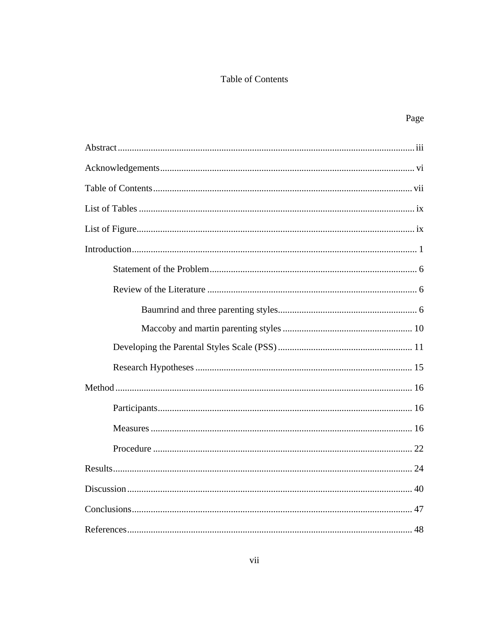## Table of Contents

Page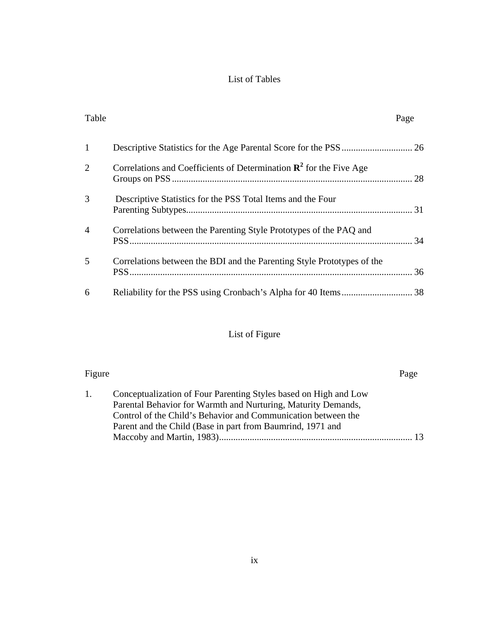## List of Tables

| Table          |                                                                                | Page |
|----------------|--------------------------------------------------------------------------------|------|
| 1              |                                                                                |      |
| 2              | Correlations and Coefficients of Determination $\mathbb{R}^2$ for the Five Age |      |
| 3              | Descriptive Statistics for the PSS Total Items and the Four                    |      |
| $\overline{4}$ | Correlations between the Parenting Style Prototypes of the PAQ and             |      |
| 5              | Correlations between the BDI and the Parenting Style Prototypes of the         |      |
| 6              |                                                                                |      |

# List of Figure

| Figure |                                                                                                                                                                                                                                                                  | Page |
|--------|------------------------------------------------------------------------------------------------------------------------------------------------------------------------------------------------------------------------------------------------------------------|------|
| 1.     | Conceptualization of Four Parenting Styles based on High and Low<br>Parental Behavior for Warmth and Nurturing, Maturity Demands,<br>Control of the Child's Behavior and Communication between the<br>Parent and the Child (Base in part from Baumrind, 1971 and | 13   |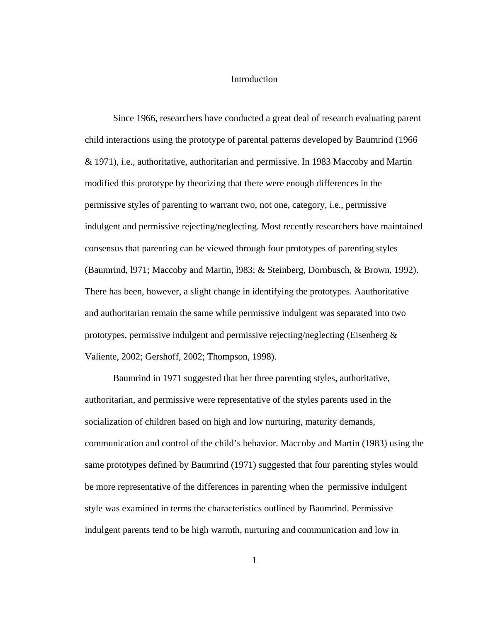#### Introduction

Since 1966, researchers have conducted a great deal of research evaluating parent child interactions using the prototype of parental patterns developed by Baumrind (1966 & 1971), i.e., authoritative, authoritarian and permissive. In 1983 Maccoby and Martin modified this prototype by theorizing that there were enough differences in the permissive styles of parenting to warrant two, not one, category, i.e., permissive indulgent and permissive rejecting/neglecting. Most recently researchers have maintained consensus that parenting can be viewed through four prototypes of parenting styles (Baumrind, l971; Maccoby and Martin, l983; & Steinberg, Dornbusch, & Brown, 1992). There has been, however, a slight change in identifying the prototypes. Aauthoritative and authoritarian remain the same while permissive indulgent was separated into two prototypes, permissive indulgent and permissive rejecting/neglecting (Eisenberg  $\&$ Valiente, 2002; Gershoff, 2002; Thompson, 1998).

Baumrind in 1971 suggested that her three parenting styles, authoritative, authoritarian, and permissive were representative of the styles parents used in the socialization of children based on high and low nurturing, maturity demands, communication and control of the child's behavior. Maccoby and Martin (1983) using the same prototypes defined by Baumrind (1971) suggested that four parenting styles would be more representative of the differences in parenting when the permissive indulgent style was examined in terms the characteristics outlined by Baumrind. Permissive indulgent parents tend to be high warmth, nurturing and communication and low in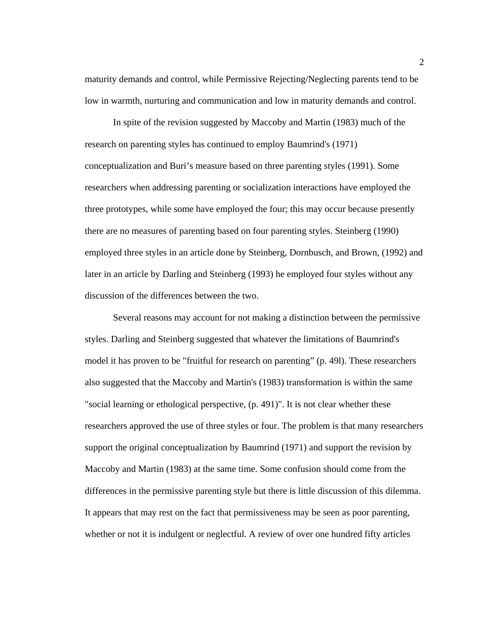maturity demands and control, while Permissive Rejecting/Neglecting parents tend to be low in warmth, nurturing and communication and low in maturity demands and control.

In spite of the revision suggested by Maccoby and Martin (1983) much of the research on parenting styles has continued to employ Baumrind's (1971) conceptualization and Buri's measure based on three parenting styles (1991). Some researchers when addressing parenting or socialization interactions have employed the three prototypes, while some have employed the four; this may occur because presently there are no measures of parenting based on four parenting styles. Steinberg (1990) employed three styles in an article done by Steinberg, Dornbusch, and Brown, (1992) and later in an article by Darling and Steinberg (1993) he employed four styles without any discussion of the differences between the two.

Several reasons may account for not making a distinction between the permissive styles. Darling and Steinberg suggested that whatever the limitations of Baumrind's model it has proven to be "fruitful for research on parenting" (p. 49l). These researchers also suggested that the Maccoby and Martin's (1983) transformation is within the same "social learning or ethological perspective, (p. 491)". It is not clear whether these researchers approved the use of three styles or four. The problem is that many researchers support the original conceptualization by Baumrind (1971) and support the revision by Maccoby and Martin (1983) at the same time. Some confusion should come from the differences in the permissive parenting style but there is little discussion of this dilemma. It appears that may rest on the fact that permissiveness may be seen as poor parenting, whether or not it is indulgent or neglectful. A review of over one hundred fifty articles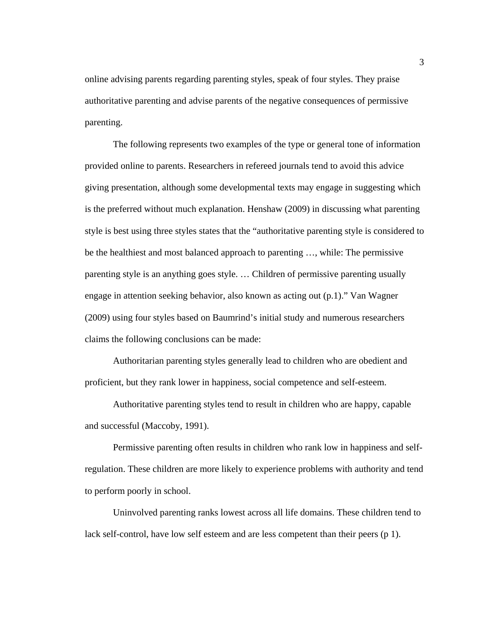online advising parents regarding parenting styles, speak of four styles. They praise authoritative parenting and advise parents of the negative consequences of permissive parenting.

The following represents two examples of the type or general tone of information provided online to parents. Researchers in refereed journals tend to avoid this advice giving presentation, although some developmental texts may engage in suggesting which is the preferred without much explanation. Henshaw (2009) in discussing what parenting style is best using three styles states that the "authoritative parenting style is considered to be the healthiest and most balanced approach to parenting …, while: The permissive parenting style is an anything goes style. … Children of permissive parenting usually engage in attention seeking behavior, also known as acting out (p.1)." Van Wagner (2009) using four styles based on Baumrind's initial study and numerous researchers claims the following conclusions can be made:

Authoritarian parenting styles generally lead to children who are obedient and proficient, but they rank lower in happiness, social competence and self-esteem.

Authoritative parenting styles tend to result in children who are happy, capable and successful (Maccoby, 1991).

Permissive parenting often results in children who rank low in happiness and selfregulation. These children are more likely to experience problems with authority and tend to perform poorly in school.

Uninvolved parenting ranks lowest across all life domains. These children tend to lack self-control, have low self esteem and are less competent than their peers (p 1).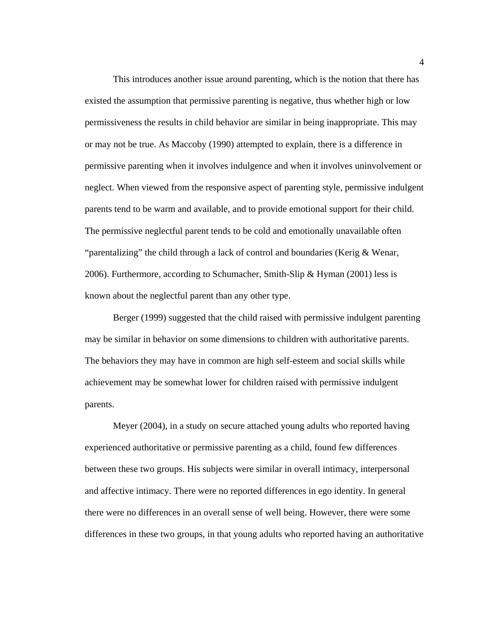This introduces another issue around parenting, which is the notion that there has existed the assumption that permissive parenting is negative, thus whether high or low permissiveness the results in child behavior are similar in being inappropriate. This may or may not be true. As Maccoby (1990) attempted to explain, there is a difference in permissive parenting when it involves indulgence and when it involves uninvolvement or neglect. When viewed from the responsive aspect of parenting style, permissive indulgent parents tend to be warm and available, and to provide emotional support for their child. The permissive neglectful parent tends to be cold and emotionally unavailable often "parentalizing" the child through a lack of control and boundaries (Kerig  $\&$  Wenar, 2006). Furthermore, according to Schumacher, Smith-Slip & Hyman (2001) less is known about the neglectful parent than any other type.

Berger (1999) suggested that the child raised with permissive indulgent parenting may be similar in behavior on some dimensions to children with authoritative parents. The behaviors they may have in common are high self-esteem and social skills while achievement may be somewhat lower for children raised with permissive indulgent parents.

Meyer (2004), in a study on secure attached young adults who reported having experienced authoritative or permissive parenting as a child, found few differences between these two groups. His subjects were similar in overall intimacy, interpersonal and affective intimacy. There were no reported differences in ego identity. In general there were no differences in an overall sense of well being. However, there were some differences in these two groups, in that young adults who reported having an authoritative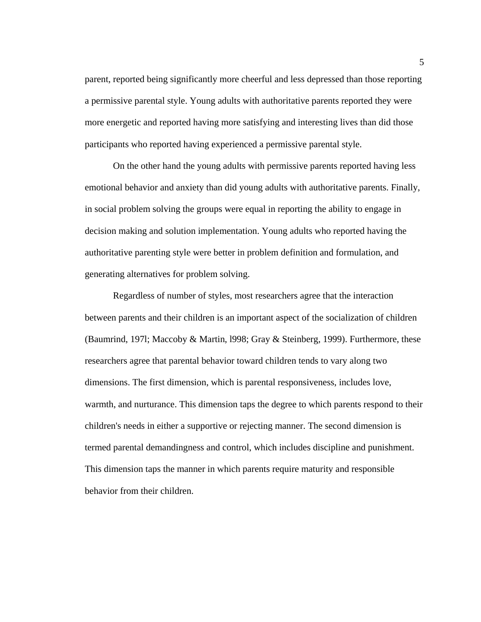parent, reported being significantly more cheerful and less depressed than those reporting a permissive parental style. Young adults with authoritative parents reported they were more energetic and reported having more satisfying and interesting lives than did those participants who reported having experienced a permissive parental style.

On the other hand the young adults with permissive parents reported having less emotional behavior and anxiety than did young adults with authoritative parents. Finally, in social problem solving the groups were equal in reporting the ability to engage in decision making and solution implementation. Young adults who reported having the authoritative parenting style were better in problem definition and formulation, and generating alternatives for problem solving.

Regardless of number of styles, most researchers agree that the interaction between parents and their children is an important aspect of the socialization of children (Baumrind, 197l; Maccoby & Martin, l998; Gray & Steinberg, 1999). Furthermore, these researchers agree that parental behavior toward children tends to vary along two dimensions. The first dimension, which is parental responsiveness, includes love, warmth, and nurturance. This dimension taps the degree to which parents respond to their children's needs in either a supportive or rejecting manner. The second dimension is termed parental demandingness and control, which includes discipline and punishment. This dimension taps the manner in which parents require maturity and responsible behavior from their children.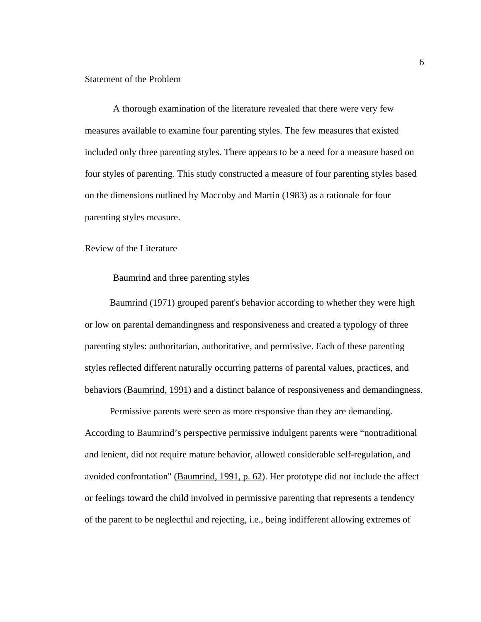#### Statement of the Problem

A thorough examination of the literature revealed that there were very few measures available to examine four parenting styles. The few measures that existed included only three parenting styles. There appears to be a need for a measure based on four styles of parenting. This study constructed a measure of four parenting styles based on the dimensions outlined by Maccoby and Martin (1983) as a rationale for four parenting styles measure.

#### Review of the Literature

#### Baumrind and three parenting styles

Baumrind (1971) grouped parent's behavior according to whether they were high or low on parental demandingness and responsiveness and created a typology of three parenting styles: authoritarian, authoritative, and permissive. Each of these parenting styles reflected different naturally occurring patterns of parental values, practices, and behaviors (Baumrind, 1991) and a distinct balance of responsiveness and demandingness.

Permissive parents were seen as more responsive than they are demanding. According to Baumrind's perspective permissive indulgent parents were "nontraditional and lenient, did not require mature behavior, allowed considerable self-regulation, and avoided confrontation" (Baumrind, 1991, p. 62). Her prototype did not include the affect or feelings toward the child involved in permissive parenting that represents a tendency of the parent to be neglectful and rejecting, i.e., being indifferent allowing extremes of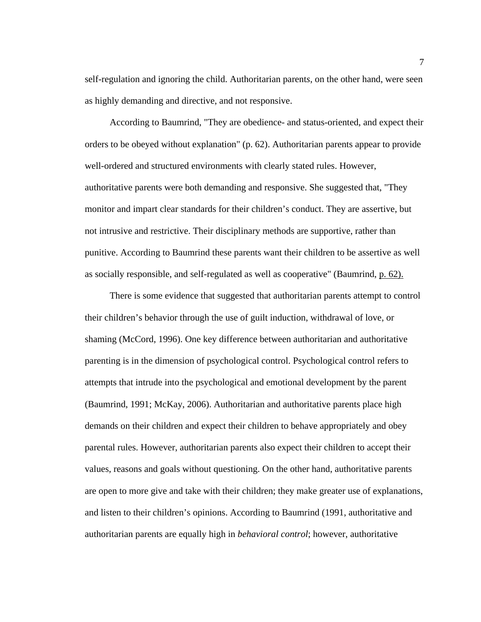self-regulation and ignoring the child. Authoritarian parent*s*, on the other hand, were seen as highly demanding and directive, and not responsive.

According to Baumrind, "They are obedience- and status-oriented, and expect their orders to be obeyed without explanation" (p. 62). Authoritarian parents appear to provide well-ordered and structured environments with clearly stated rules. However, authoritative parents were both demanding and responsive. She suggested that, "They monitor and impart clear standards for their children's conduct. They are assertive, but not intrusive and restrictive. Their disciplinary methods are supportive, rather than punitive. According to Baumrind these parents want their children to be assertive as well as socially responsible, and self-regulated as well as cooperative" (Baumrind, p. 62).

There is some evidence that suggested that authoritarian parents attempt to control their children's behavior through the use of guilt induction, withdrawal of love, or shaming (McCord, 1996). One key difference between authoritarian and authoritative parenting is in the dimension of psychological control. Psychological control refers to attempts that intrude into the psychological and emotional development by the parent (Baumrind, 1991; McKay, 2006). Authoritarian and authoritative parents place high demands on their children and expect their children to behave appropriately and obey parental rules. However, authoritarian parents also expect their children to accept their values, reasons and goals without questioning. On the other hand, authoritative parents are open to more give and take with their children; they make greater use of explanations, and listen to their children's opinions. According to Baumrind (1991, authoritative and authoritarian parents are equally high in *behavioral control*; however, authoritative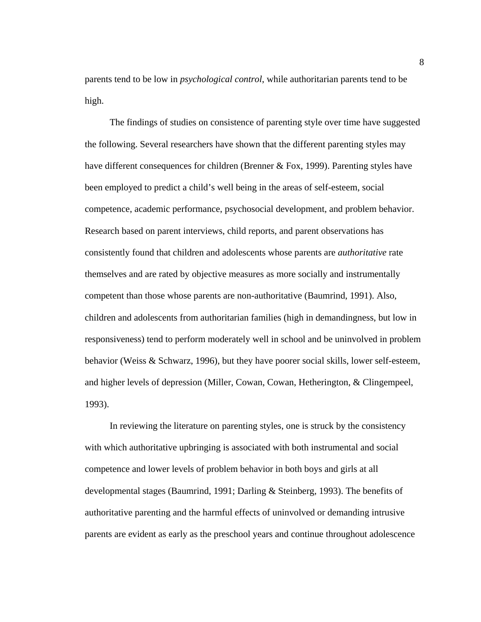parents tend to be low in *psychological control*, while authoritarian parents tend to be high.

The findings of studies on consistence of parenting style over time have suggested the following. Several researchers have shown that the different parenting styles may have different consequences for children (Brenner & Fox, 1999). Parenting styles have been employed to predict a child's well being in the areas of self-esteem, social competence, academic performance, psychosocial development, and problem behavior. Research based on parent interviews, child reports, and parent observations has consistently found that children and adolescents whose parents are *authoritative* rate themselves and are rated by objective measures as more socially and instrumentally competent than those whose parents are non-authoritative (Baumrind, 1991). Also, children and adolescents from authoritarian families (high in demandingness, but low in responsiveness) tend to perform moderately well in school and be uninvolved in problem behavior (Weiss & Schwarz, 1996), but they have poorer social skills, lower self-esteem, and higher levels of depression (Miller, Cowan, Cowan, Hetherington, & Clingempeel, 1993).

In reviewing the literature on parenting styles, one is struck by the consistency with which authoritative upbringing is associated with both instrumental and social competence and lower levels of problem behavior in both boys and girls at all developmental stages (Baumrind, 1991; Darling & Steinberg, 1993). The benefits of authoritative parenting and the harmful effects of uninvolved or demanding intrusive parents are evident as early as the preschool years and continue throughout adolescence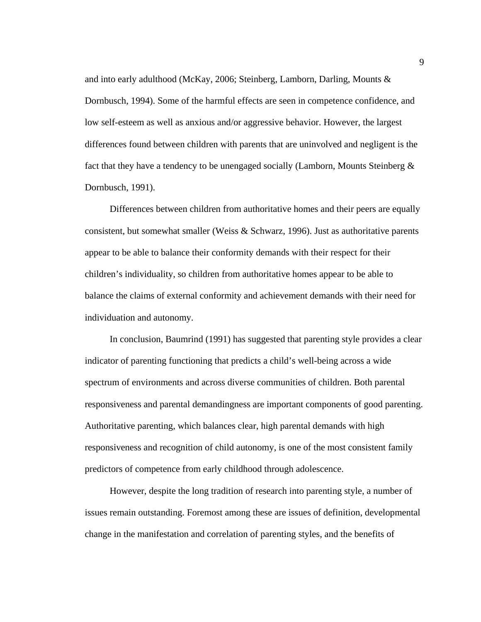and into early adulthood (McKay, 2006; Steinberg, Lamborn, Darling, Mounts & Dornbusch, 1994). Some of the harmful effects are seen in competence confidence, and low self-esteem as well as anxious and/or aggressive behavior. However, the largest differences found between children with parents that are uninvolved and negligent is the fact that they have a tendency to be unengaged socially (Lamborn, Mounts Steinberg & Dornbusch, 1991).

Differences between children from authoritative homes and their peers are equally consistent, but somewhat smaller (Weiss  $\&$  Schwarz, 1996). Just as authoritative parents appear to be able to balance their conformity demands with their respect for their children's individuality, so children from authoritative homes appear to be able to balance the claims of external conformity and achievement demands with their need for individuation and autonomy.

In conclusion, Baumrind (1991) has suggested that parenting style provides a clear indicator of parenting functioning that predicts a child's well-being across a wide spectrum of environments and across diverse communities of children. Both parental responsiveness and parental demandingness are important components of good parenting. Authoritative parenting, which balances clear, high parental demands with high responsiveness and recognition of child autonomy, is one of the most consistent family predictors of competence from early childhood through adolescence.

However, despite the long tradition of research into parenting style, a number of issues remain outstanding. Foremost among these are issues of definition, developmental change in the manifestation and correlation of parenting styles, and the benefits of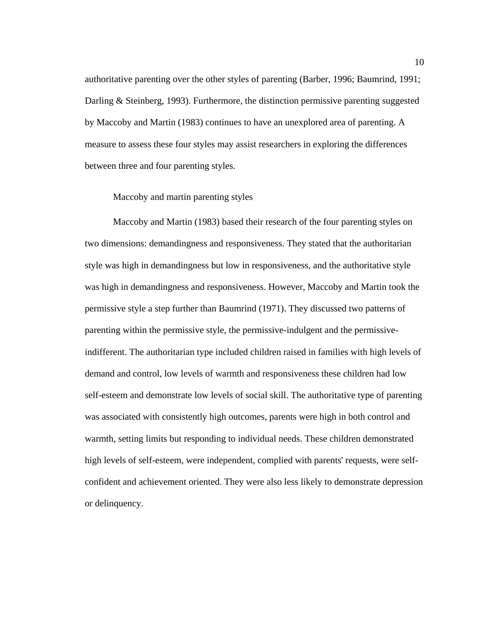authoritative parenting over the other styles of parenting (Barber, 1996; Baumrind, 1991; Darling & Steinberg, 1993). Furthermore, the distinction permissive parenting suggested by Maccoby and Martin (1983) continues to have an unexplored area of parenting. A measure to assess these four styles may assist researchers in exploring the differences between three and four parenting styles.

#### Maccoby and martin parenting styles

Maccoby and Martin (1983) based their research of the four parenting styles on two dimensions: demandingness and responsiveness. They stated that the authoritarian style was high in demandingness but low in responsiveness, and the authoritative style was high in demandingness and responsiveness. However, Maccoby and Martin took the permissive style a step further than Baumrind (1971). They discussed two patterns of parenting within the permissive style, the permissive-indulgent and the permissiveindifferent. The authoritarian type included children raised in families with high levels of demand and control, low levels of warmth and responsiveness these children had low self-esteem and demonstrate low levels of social skill. The authoritative type of parenting was associated with consistently high outcomes, parents were high in both control and warmth, setting limits but responding to individual needs. These children demonstrated high levels of self-esteem, were independent, complied with parents' requests, were selfconfident and achievement oriented. They were also less likely to demonstrate depression or delinquency.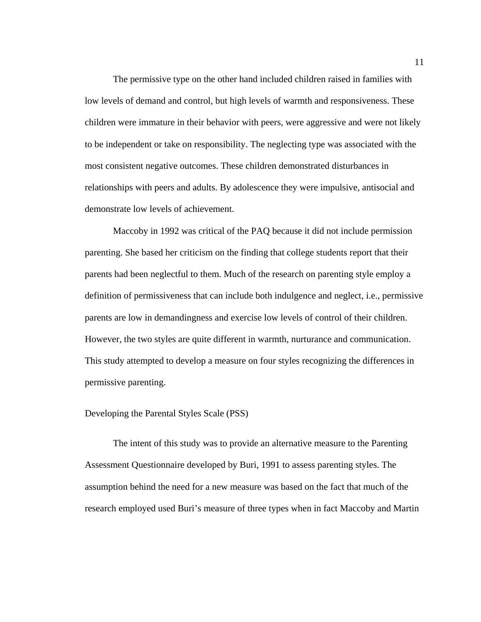The permissive type on the other hand included children raised in families with low levels of demand and control, but high levels of warmth and responsiveness. These children were immature in their behavior with peers, were aggressive and were not likely to be independent or take on responsibility. The neglecting type was associated with the most consistent negative outcomes. These children demonstrated disturbances in relationships with peers and adults. By adolescence they were impulsive, antisocial and demonstrate low levels of achievement.

Maccoby in 1992 was critical of the PAQ because it did not include permission parenting. She based her criticism on the finding that college students report that their parents had been neglectful to them. Much of the research on parenting style employ a definition of permissiveness that can include both indulgence and neglect, i.e., permissive parents are low in demandingness and exercise low levels of control of their children. However, the two styles are quite different in warmth, nurturance and communication. This study attempted to develop a measure on four styles recognizing the differences in permissive parenting.

#### Developing the Parental Styles Scale (PSS)

The intent of this study was to provide an alternative measure to the Parenting Assessment Questionnaire developed by Buri, 1991 to assess parenting styles. The assumption behind the need for a new measure was based on the fact that much of the research employed used Buri's measure of three types when in fact Maccoby and Martin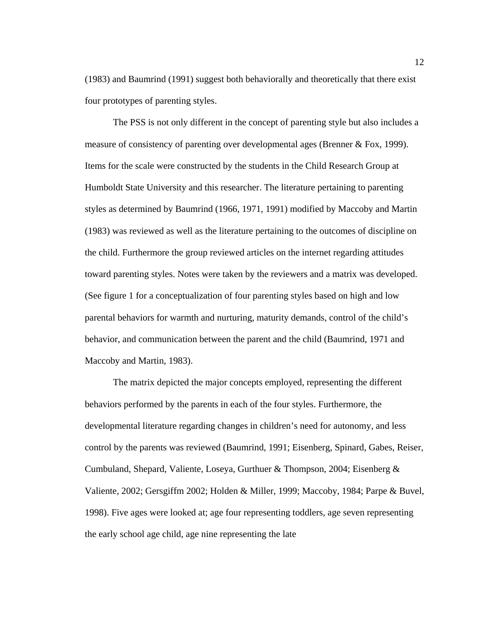(1983) and Baumrind (1991) suggest both behaviorally and theoretically that there exist four prototypes of parenting styles.

The PSS is not only different in the concept of parenting style but also includes a measure of consistency of parenting over developmental ages (Brenner & Fox, 1999). Items for the scale were constructed by the students in the Child Research Group at Humboldt State University and this researcher. The literature pertaining to parenting styles as determined by Baumrind (1966, 1971, 1991) modified by Maccoby and Martin (1983) was reviewed as well as the literature pertaining to the outcomes of discipline on the child. Furthermore the group reviewed articles on the internet regarding attitudes toward parenting styles. Notes were taken by the reviewers and a matrix was developed. (See figure 1 for a conceptualization of four parenting styles based on high and low parental behaviors for warmth and nurturing, maturity demands, control of the child's behavior, and communication between the parent and the child (Baumrind, 1971 and Maccoby and Martin, 1983).

The matrix depicted the major concepts employed, representing the different behaviors performed by the parents in each of the four styles. Furthermore, the developmental literature regarding changes in children's need for autonomy, and less control by the parents was reviewed (Baumrind, 1991; Eisenberg, Spinard, Gabes, Reiser, Cumbuland, Shepard, Valiente, Loseya, Gurthuer & Thompson, 2004; Eisenberg & Valiente, 2002; Gersgiffm 2002; Holden & Miller, 1999; Maccoby, 1984; Parpe & Buvel, 1998). Five ages were looked at; age four representing toddlers, age seven representing the early school age child, age nine representing the late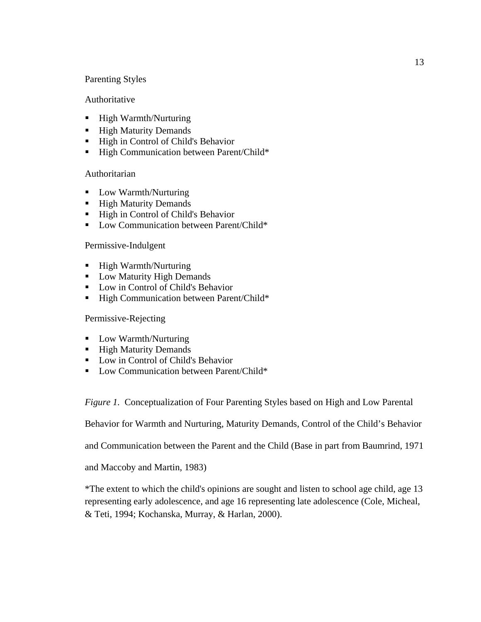## Parenting Styles

## Authoritative

- High Warmth/Nurturing
- High Maturity Demands
- High in Control of Child's Behavior
- **High Communication between Parent/Child\***

## Authoritarian

- **Low Warmth/Nurturing**
- **High Maturity Demands**
- High in Control of Child's Behavior
- Low Communication between Parent/Child\*

## Permissive-Indulgent

- High Warmth/Nurturing
- **Low Maturity High Demands**
- **Low in Control of Child's Behavior**
- High Communication between Parent/Child\*

## Permissive-Rejecting

- **Low Warmth/Nurturing**
- **High Maturity Demands**
- **Low in Control of Child's Behavior**
- Low Communication between Parent/Child\*

*Figure 1.* Conceptualization of Four Parenting Styles based on High and Low Parental

Behavior for Warmth and Nurturing, Maturity Demands, Control of the Child's Behavior

and Communication between the Parent and the Child (Base in part from Baumrind, 1971

and Maccoby and Martin, 1983)

\*The extent to which the child's opinions are sought and listen to school age child, age 13 representing early adolescence, and age 16 representing late adolescence (Cole, Micheal, & Teti, 1994; Kochanska, Murray, & Harlan, 2000).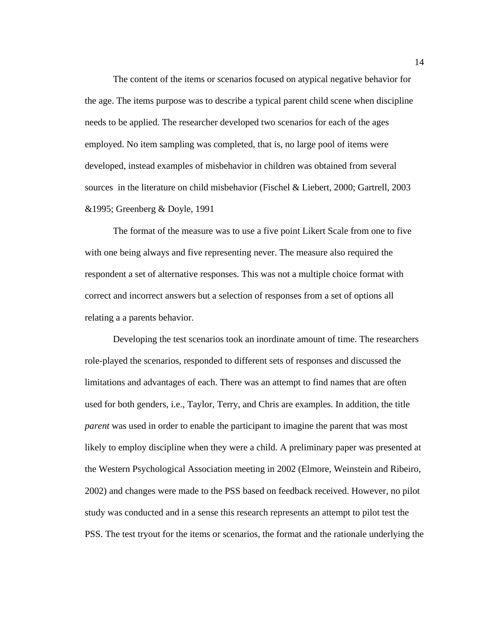The content of the items or scenarios focused on atypical negative behavior for the age. The items purpose was to describe a typical parent child scene when discipline needs to be applied. The researcher developed two scenarios for each of the ages employed. No item sampling was completed, that is, no large pool of items were developed, instead examples of misbehavior in children was obtained from several sources in the literature on child misbehavior (Fischel & Liebert, 2000; Gartrell, 2003 &1995; Greenberg & Doyle, 1991

The format of the measure was to use a five point Likert Scale from one to five with one being always and five representing never. The measure also required the respondent a set of alternative responses. This was not a multiple choice format with correct and incorrect answers but a selection of responses from a set of options all relating a a parents behavior.

Developing the test scenarios took an inordinate amount of time. The researchers role-played the scenarios, responded to different sets of responses and discussed the limitations and advantages of each. There was an attempt to find names that are often used for both genders, i.e., Taylor, Terry, and Chris are examples. In addition, the title *parent* was used in order to enable the participant to imagine the parent that was most likely to employ discipline when they were a child. A preliminary paper was presented at the Western Psychological Association meeting in 2002 (Elmore, Weinstein and Ribeiro, 2002) and changes were made to the PSS based on feedback received. However, no pilot study was conducted and in a sense this research represents an attempt to pilot test the PSS. The test tryout for the items or scenarios, the format and the rationale underlying the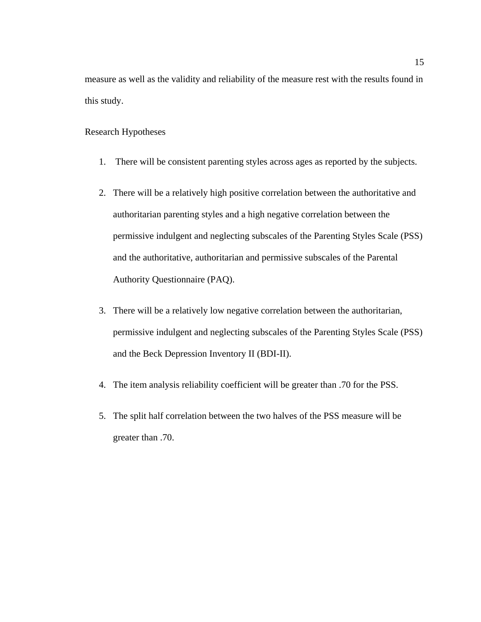measure as well as the validity and reliability of the measure rest with the results found in this study.

### Research Hypotheses

- 1. There will be consistent parenting styles across ages as reported by the subjects.
- 2. There will be a relatively high positive correlation between the authoritative and authoritarian parenting styles and a high negative correlation between the permissive indulgent and neglecting subscales of the Parenting Styles Scale (PSS) and the authoritative, authoritarian and permissive subscales of the Parental Authority Questionnaire (PAQ).
- 3. There will be a relatively low negative correlation between the authoritarian, permissive indulgent and neglecting subscales of the Parenting Styles Scale (PSS) and the Beck Depression Inventory II (BDI-II).
- 4. The item analysis reliability coefficient will be greater than .70 for the PSS.
- 5. The split half correlation between the two halves of the PSS measure will be greater than .70.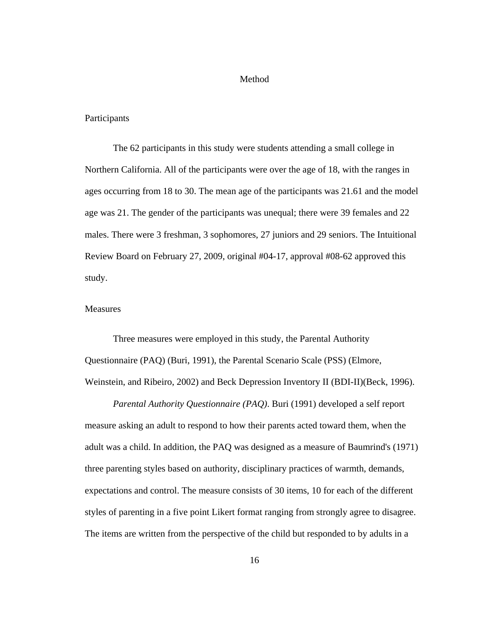#### Method

#### **Participants**

The 62 participants in this study were students attending a small college in Northern California. All of the participants were over the age of 18, with the ranges in ages occurring from 18 to 30. The mean age of the participants was 21.61 and the model age was 21. The gender of the participants was unequal; there were 39 females and 22 males. There were 3 freshman, 3 sophomores, 27 juniors and 29 seniors. The Intuitional Review Board on February 27, 2009, original #04-17, approval #08-62 approved this study.

#### **Measures**

Three measures were employed in this study, the Parental Authority Questionnaire (PAQ) (Buri, 1991), the Parental Scenario Scale (PSS) (Elmore, Weinstein, and Ribeiro, 2002) and Beck Depression Inventory II (BDI-II)(Beck, 1996).

*Parental Authority Questionnaire (PAQ)*. Buri (1991) developed a self report measure asking an adult to respond to how their parents acted toward them, when the adult was a child. In addition, the PAQ was designed as a measure of Baumrind's (1971) three parenting styles based on authority, disciplinary practices of warmth, demands, expectations and control. The measure consists of 30 items, 10 for each of the different styles of parenting in a five point Likert format ranging from strongly agree to disagree. The items are written from the perspective of the child but responded to by adults in a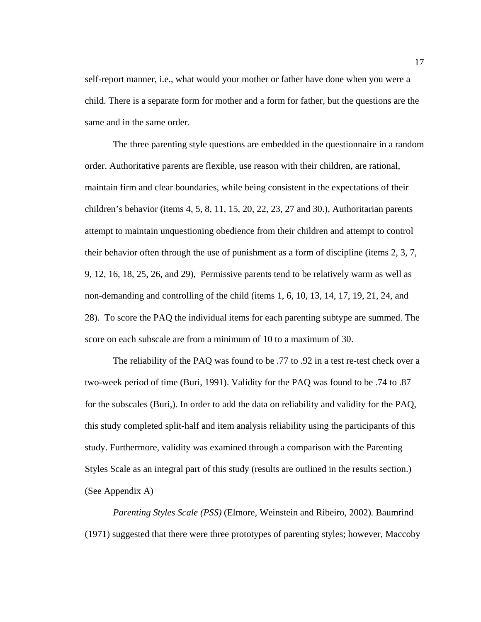self-report manner, i.e., what would your mother or father have done when you were a child. There is a separate form for mother and a form for father, but the questions are the same and in the same order.

The three parenting style questions are embedded in the questionnaire in a random order. Authoritative parents are flexible, use reason with their children, are rational, maintain firm and clear boundaries, while being consistent in the expectations of their children's behavior (items 4, 5, 8, 11, 15, 20, 22, 23, 27 and 30.), Authoritarian parents attempt to maintain unquestioning obedience from their children and attempt to control their behavior often through the use of punishment as a form of discipline (items 2, 3, 7, 9, 12, 16, 18, 25, 26, and 29), Permissive parents tend to be relatively warm as well as non-demanding and controlling of the child (items 1, 6, 10, 13, 14, 17, 19, 21, 24, and 28). To score the PAQ the individual items for each parenting subtype are summed. The score on each subscale are from a minimum of 10 to a maximum of 30.

The reliability of the PAQ was found to be .77 to .92 in a test re-test check over a two-week period of time (Buri, 1991). Validity for the PAQ was found to be .74 to .87 for the subscales (Buri,). In order to add the data on reliability and validity for the PAQ, this study completed split-half and item analysis reliability using the participants of this study. Furthermore, validity was examined through a comparison with the Parenting Styles Scale as an integral part of this study (results are outlined in the results section.) (See Appendix A)

*Parenting Styles Scale (PSS)* (Elmore, Weinstein and Ribeiro, 2002)*.* Baumrind (1971) suggested that there were three prototypes of parenting styles; however, Maccoby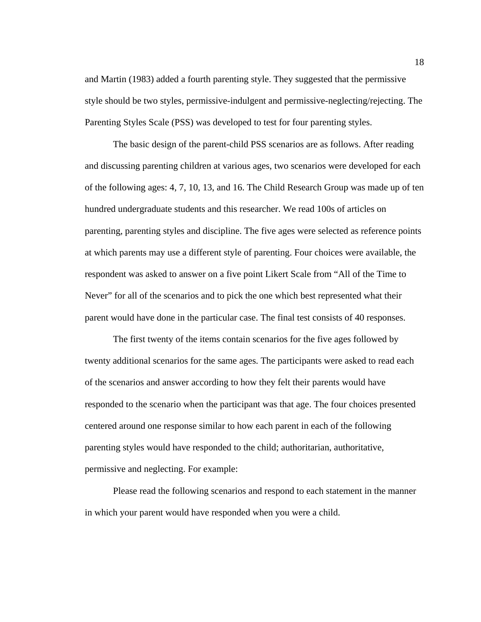and Martin (1983) added a fourth parenting style. They suggested that the permissive style should be two styles, permissive-indulgent and permissive-neglecting/rejecting. The Parenting Styles Scale (PSS) was developed to test for four parenting styles.

The basic design of the parent-child PSS scenarios are as follows. After reading and discussing parenting children at various ages, two scenarios were developed for each of the following ages: 4, 7, 10, 13, and 16. The Child Research Group was made up of ten hundred undergraduate students and this researcher. We read 100s of articles on parenting, parenting styles and discipline. The five ages were selected as reference points at which parents may use a different style of parenting. Four choices were available, the respondent was asked to answer on a five point Likert Scale from "All of the Time to Never" for all of the scenarios and to pick the one which best represented what their parent would have done in the particular case. The final test consists of 40 responses.

The first twenty of the items contain scenarios for the five ages followed by twenty additional scenarios for the same ages. The participants were asked to read each of the scenarios and answer according to how they felt their parents would have responded to the scenario when the participant was that age. The four choices presented centered around one response similar to how each parent in each of the following parenting styles would have responded to the child; authoritarian, authoritative, permissive and neglecting. For example:

Please read the following scenarios and respond to each statement in the manner in which your parent would have responded when you were a child.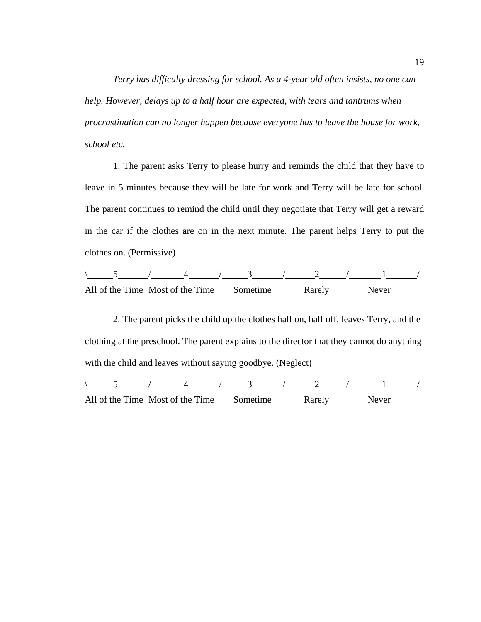*Terry has difficulty dressing for school. As a 4-year old often insists, no one can help. However, delays up to a half hour are expected, with tears and tantrums when procrastination can no longer happen because everyone has to leave the house for work, school etc.* 

1. The parent asks Terry to please hurry and reminds the child that they have to leave in 5 minutes because they will be late for work and Terry will be late for school. The parent continues to remind the child until they negotiate that Terry will get a reward in the car if the clothes are on in the next minute. The parent helps Terry to put the clothes on. (Permissive)

$$
\begin{array}{c|c|c|c|c|c} 5 & 4 & 3 & 2 & 1 & 1\\ \hline \end{array}
$$
 All of the Time Most of the Time

2. The parent picks the child up the clothes half on, half off, leaves Terry, and the clothing at the preschool. The parent explains to the director that they cannot do anything with the child and leaves without saying goodbye. (Neglect)

 $\begin{array}{|c|c|c|c|c|c|c|c|c|c|c|}\n\hline\n\text{5} & \text{/} & \text{4} & \text{/} & \text{3} & \text{/} & \text{2} & \text{/} & \text{1} & \text{/} \\\hline\n\end{array}$ All of the Time Most of the Time Sometime Rarely Never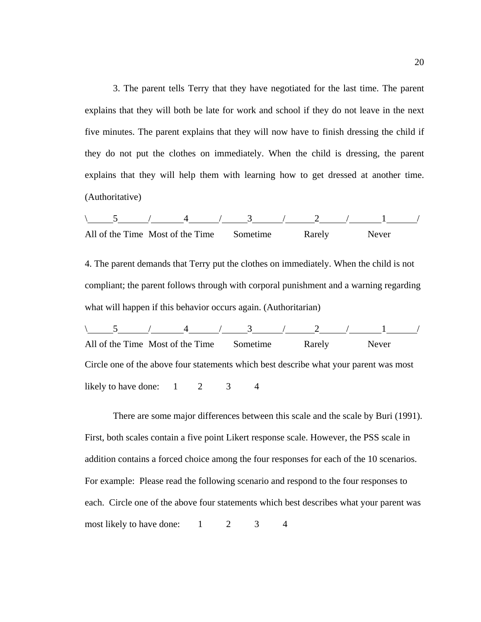3. The parent tells Terry that they have negotiated for the last time. The parent explains that they will both be late for work and school if they do not leave in the next five minutes. The parent explains that they will now have to finish dressing the child if they do not put the clothes on immediately. When the child is dressing, the parent explains that they will help them with learning how to get dressed at another time. (Authoritative)

| All of the Time Most of the Time Sometime |  |  | Rarely | Never |  |
|-------------------------------------------|--|--|--------|-------|--|

4. The parent demands that Terry put the clothes on immediately. When the child is not compliant; the parent follows through with corporal punishment and a warning regarding what will happen if this behavior occurs again. (Authoritarian)

 $\begin{array}{cccccccccccccc} 5 & / & 4 & / & 3 & / & 2 & / & 1 & / \end{array}$ All of the Time Most of the Time Sometime Rarely Never Circle one of the above four statements which best describe what your parent was most likely to have done:  $1 \t 2 \t 3 \t 4$ 

There are some major differences between this scale and the scale by Buri (1991). First, both scales contain a five point Likert response scale. However, the PSS scale in addition contains a forced choice among the four responses for each of the 10 scenarios. For example: Please read the following scenario and respond to the four responses to each. Circle one of the above four statements which best describes what your parent was most likely to have done:  $1 \t 2 \t 3 \t 4$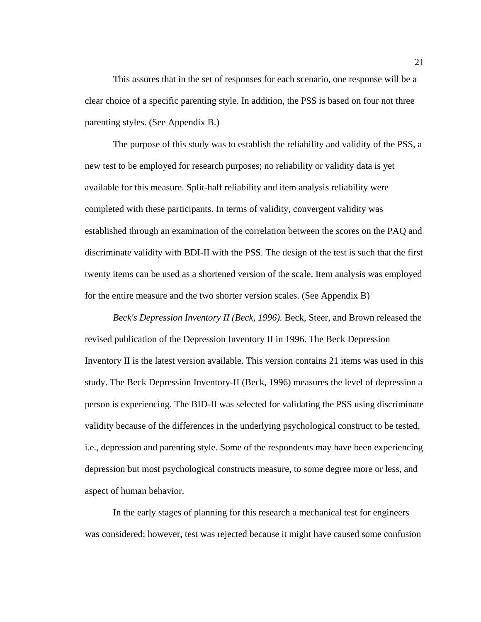This assures that in the set of responses for each scenario, one response will be a clear choice of a specific parenting style. In addition, the PSS is based on four not three parenting styles. (See Appendix B.)

The purpose of this study was to establish the reliability and validity of the PSS, a new test to be employed for research purposes; no reliability or validity data is yet available for this measure. Split-half reliability and item analysis reliability were completed with these participants. In terms of validity, convergent validity was established through an examination of the correlation between the scores on the PAQ and discriminate validity with BDI-II with the PSS. The design of the test is such that the first twenty items can be used as a shortened version of the scale. Item analysis was employed for the entire measure and the two shorter version scales. (See Appendix B)

*Beck's Depression Inventory II (Beck, 1996).* Beck, Steer, and Brown released the revised publication of the Depression Inventory II in 1996. The Beck Depression Inventory II is the latest version available. This version contains 21 items was used in this study. The Beck Depression Inventory-II (Beck, 1996) measures the level of depression a person is experiencing. The BID-II was selected for validating the PSS using discriminate validity because of the differences in the underlying psychological construct to be tested, i.e., depression and parenting style. Some of the respondents may have been experiencing depression but most psychological constructs measure, to some degree more or less, and aspect of human behavior.

In the early stages of planning for this research a mechanical test for engineers was considered; however, test was rejected because it might have caused some confusion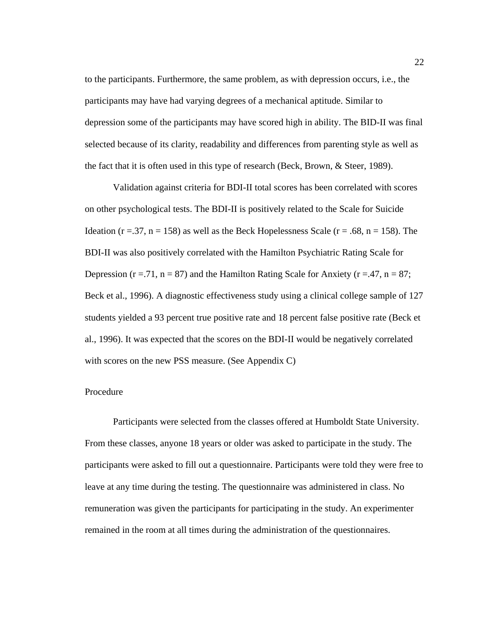to the participants. Furthermore, the same problem, as with depression occurs, i.e., the participants may have had varying degrees of a mechanical aptitude. Similar to depression some of the participants may have scored high in ability. The BID-II was final selected because of its clarity, readability and differences from parenting style as well as the fact that it is often used in this type of research (Beck, Brown, & Steer, 1989).

Validation against criteria for BDI-II total scores has been correlated with scores on other psychological tests. The BDI-II is positively related to the Scale for Suicide Ideation ( $r = 0.37$ ,  $n = 158$ ) as well as the Beck Hopelessness Scale ( $r = 0.68$ ,  $n = 158$ ). The BDI-II was also positively correlated with the Hamilton Psychiatric Rating Scale for Depression ( $r = .71$ ,  $n = 87$ ) and the Hamilton Rating Scale for Anxiety ( $r = .47$ ,  $n = 87$ ; Beck et al., 1996). A diagnostic effectiveness study using a clinical college sample of 127 students yielded a 93 percent true positive rate and 18 percent false positive rate (Beck et al., 1996). It was expected that the scores on the BDI-II would be negatively correlated with scores on the new PSS measure. (See Appendix C)

#### Procedure

Participants were selected from the classes offered at Humboldt State University. From these classes, anyone 18 years or older was asked to participate in the study. The participants were asked to fill out a questionnaire. Participants were told they were free to leave at any time during the testing. The questionnaire was administered in class. No remuneration was given the participants for participating in the study. An experimenter remained in the room at all times during the administration of the questionnaires.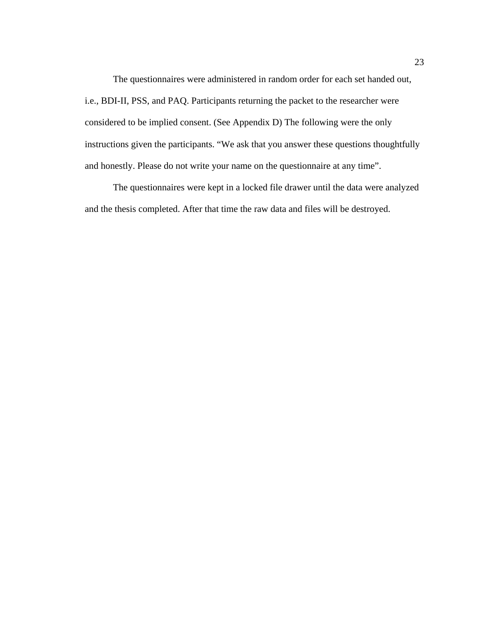The questionnaires were administered in random order for each set handed out, i.e., BDI-II, PSS, and PAQ. Participants returning the packet to the researcher were considered to be implied consent. (See Appendix D) The following were the only instructions given the participants. "We ask that you answer these questions thoughtfully and honestly. Please do not write your name on the questionnaire at any time".

The questionnaires were kept in a locked file drawer until the data were analyzed and the thesis completed. After that time the raw data and files will be destroyed.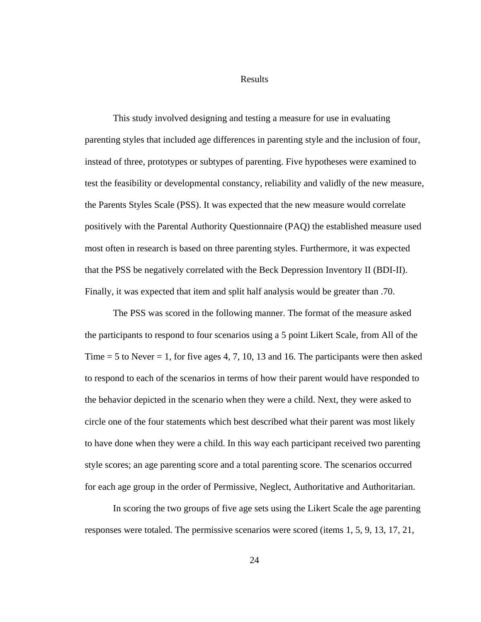Results

This study involved designing and testing a measure for use in evaluating parenting styles that included age differences in parenting style and the inclusion of four, instead of three, prototypes or subtypes of parenting. Five hypotheses were examined to test the feasibility or developmental constancy, reliability and validly of the new measure, the Parents Styles Scale (PSS). It was expected that the new measure would correlate positively with the Parental Authority Questionnaire (PAQ) the established measure used most often in research is based on three parenting styles. Furthermore, it was expected that the PSS be negatively correlated with the Beck Depression Inventory II (BDI-II). Finally, it was expected that item and split half analysis would be greater than .70.

The PSS was scored in the following manner. The format of the measure asked the participants to respond to four scenarios using a 5 point Likert Scale, from All of the Time  $= 5$  to Never  $= 1$ , for five ages 4, 7, 10, 13 and 16. The participants were then asked to respond to each of the scenarios in terms of how their parent would have responded to the behavior depicted in the scenario when they were a child. Next, they were asked to circle one of the four statements which best described what their parent was most likely to have done when they were a child. In this way each participant received two parenting style scores; an age parenting score and a total parenting score. The scenarios occurred for each age group in the order of Permissive, Neglect, Authoritative and Authoritarian.

In scoring the two groups of five age sets using the Likert Scale the age parenting responses were totaled. The permissive scenarios were scored (items 1, 5, 9, 13, 17, 21,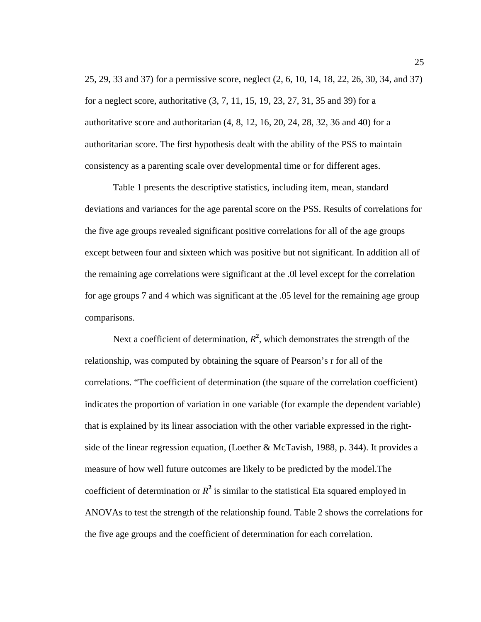25, 29, 33 and 37) for a permissive score, neglect (2, 6, 10, 14, 18, 22, 26, 30, 34, and 37) for a neglect score, authoritative (3, 7, 11, 15, 19, 23, 27, 31, 35 and 39) for a authoritative score and authoritarian (4, 8, 12, 16, 20, 24, 28, 32, 36 and 40) for a authoritarian score. The first hypothesis dealt with the ability of the PSS to maintain consistency as a parenting scale over developmental time or for different ages.

Table 1 presents the descriptive statistics, including item, mean, standard deviations and variances for the age parental score on the PSS. Results of correlations for the five age groups revealed significant positive correlations for all of the age groups except between four and sixteen which was positive but not significant. In addition all of the remaining age correlations were significant at the .0l level except for the correlation for age groups 7 and 4 which was significant at the .05 level for the remaining age group comparisons.

Next a coefficient of determination,  $R^2$ , which demonstrates the strength of the relationship, was computed by obtaining the square of Pearson's r for all of the correlations. "The coefficient of determination (the square of the correlation coefficient) indicates the proportion of variation in one variable (for example the dependent variable) that is explained by its linear association with the other variable expressed in the rightside of the linear regression equation, (Loether & McTavish, 1988, p. 344). It provides a measure of how well future outcomes are likely to be predicted by the model.The coefficient of determination or  $R^2$  is similar to the statistical Eta squared employed in ANOVAs to test the strength of the relationship found. Table 2 shows the correlations for the five age groups and the coefficient of determination for each correlation.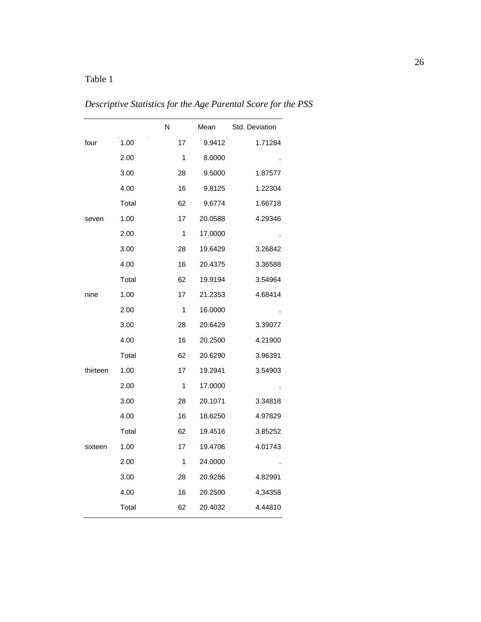# Table 1

*Descriptive Statistics for the Age Parental Score for the PSS* 

|          |       | N  | Mean    | Std. Deviation |
|----------|-------|----|---------|----------------|
| four     | 1.00  | 17 | 9.9412  | 1.71284        |
|          | 2.00  | 1  | 8.0000  |                |
|          | 3.00  | 28 | 9.5000  | 1.87577        |
|          | 4.00  | 16 | 9.8125  | 1.22304        |
|          | Total | 62 | 9.6774  | 1.66718        |
| seven    | 1.00  | 17 | 20.0588 | 4.29346        |
|          | 2.00  | 1  | 17.0000 |                |
|          | 3.00  | 28 | 19.6429 | 3.26842        |
|          | 4.00  | 16 | 20.4375 | 3.36588        |
|          | Total | 62 | 19.9194 | 3.54964        |
| nine     | 1.00  | 17 | 21.2353 | 4.68414        |
|          | 2.00  | 1  | 16.0000 |                |
|          | 3.00  | 28 | 20.6429 | 3.39077        |
|          | 4.00  | 16 | 20.2500 | 4.21900        |
|          | Total | 62 | 20.6290 | 3.96391        |
| thirteen | 1.00  | 17 | 19.2941 | 3.54903        |
|          | 2.00  | 1  | 17.0000 |                |
|          | 3.00  | 28 | 20.1071 | 3.34818        |
|          | 4.00  | 16 | 18.6250 | 4.97829        |
|          | Total | 62 | 19.4516 | 3.85252        |
| sixteen  | 1.00  | 17 | 19.4706 | 4.01743        |
|          | 2.00  | 1  | 24.0000 |                |
|          | 3.00  | 28 | 20.9286 | 4.82991        |
|          | 4.00  | 16 | 20.2500 | 4.34358        |
|          | Total | 62 | 20.4032 | 4.44810        |
|          |       |    |         |                |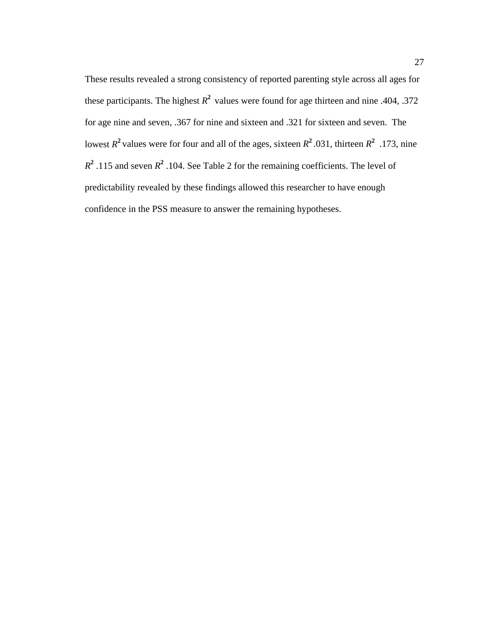These results revealed a strong consistency of reported parenting style across all ages for these participants. The highest  $R^2$  values were found for age thirteen and nine .404, .372 for age nine and seven, .367 for nine and sixteen and .321 for sixteen and seven. The lowest  $R^2$  values were for four and all of the ages, sixteen  $R^2$ .031, thirteen  $R^2$ .173, nine  $R^2$ .115 and seven  $R^2$ .104. See Table 2 for the remaining coefficients. The level of predictability revealed by these findings allowed this researcher to have enough confidence in the PSS measure to answer the remaining hypotheses.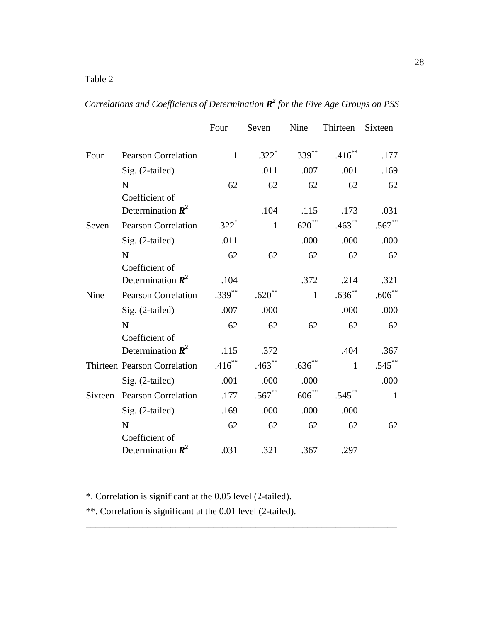|         |                                                | Four         | Seven        | Nine         | Thirteen     | Sixteen      |
|---------|------------------------------------------------|--------------|--------------|--------------|--------------|--------------|
| Four    | <b>Pearson Correlation</b>                     | $\mathbf{1}$ | $.322*$      | $.339***$    | $.416***$    | .177         |
|         | Sig. (2-tailed)                                |              | .011         | .007         | .001         | .169         |
|         | N<br>Coefficient of                            | 62           | 62           | 62           | 62           | 62           |
|         | Determination $\mathbb{R}^2$                   |              | .104         | .115         | .173         | .031         |
| Seven   | <b>Pearson Correlation</b>                     | $.322*$      | $\mathbf{1}$ | $.620**$     | $.463***$    | $.567**$     |
|         | Sig. (2-tailed)                                | .011         |              | .000         | .000         | .000         |
|         | $\mathbf N$                                    | 62           | 62           | 62           | 62           | 62           |
|         | Coefficient of<br>Determination $\mathbb{R}^2$ | .104         |              | .372         | .214         | .321         |
| Nine    | <b>Pearson Correlation</b>                     | $.339***$    | $.620**$     | $\mathbf{1}$ | $.636***$    | $.606***$    |
|         | Sig. (2-tailed)                                | .007         | .000         |              | .000         | .000         |
|         | N                                              | 62           | 62           | 62           | 62           | 62           |
|         | Coefficient of<br>Determination $\mathbb{R}^2$ | .115         | .372         |              | .404         | .367         |
|         | Thirteen Pearson Correlation                   | $.416***$    | $.463***$    | $.636***$    | $\mathbf{1}$ | $.545***$    |
|         | Sig. (2-tailed)                                | .001         | .000         | .000         |              | .000         |
| Sixteen | <b>Pearson Correlation</b>                     | .177         | $.567**$     | $.606***$    | $.545***$    | $\mathbf{1}$ |
|         | Sig. (2-tailed)                                | .169         | .000         | .000         | .000         |              |
|         | N                                              | 62           | 62           | 62           | 62           | 62           |
|         | Coefficient of<br>Determination $\mathbb{R}^2$ | .031         | .321         | .367         | .297         |              |

\_\_\_\_\_\_\_\_\_\_\_\_\_\_\_\_\_\_\_\_\_\_\_\_\_\_\_\_\_\_\_\_\_\_\_\_\_\_\_\_\_\_\_\_\_\_\_\_\_\_\_\_\_\_\_\_\_\_\_\_\_\_\_\_\_\_

Correlations and Coefficients of Determination  $\mathbb{R}^2$  for the Five Age Groups on PSS

\*. Correlation is significant at the 0.05 level (2-tailed).

\*\*. Correlation is significant at the 0.01 level (2-tailed).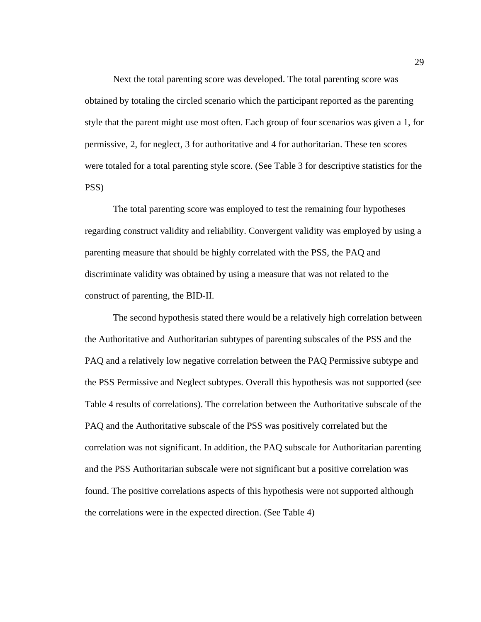Next the total parenting score was developed. The total parenting score was obtained by totaling the circled scenario which the participant reported as the parenting style that the parent might use most often. Each group of four scenarios was given a 1, for permissive, 2, for neglect, 3 for authoritative and 4 for authoritarian. These ten scores were totaled for a total parenting style score. (See Table 3 for descriptive statistics for the PSS)

The total parenting score was employed to test the remaining four hypotheses regarding construct validity and reliability. Convergent validity was employed by using a parenting measure that should be highly correlated with the PSS, the PAQ and discriminate validity was obtained by using a measure that was not related to the construct of parenting, the BID-II.

The second hypothesis stated there would be a relatively high correlation between the Authoritative and Authoritarian subtypes of parenting subscales of the PSS and the PAQ and a relatively low negative correlation between the PAQ Permissive subtype and the PSS Permissive and Neglect subtypes. Overall this hypothesis was not supported (see Table 4 results of correlations). The correlation between the Authoritative subscale of the PAQ and the Authoritative subscale of the PSS was positively correlated but the correlation was not significant. In addition, the PAQ subscale for Authoritarian parenting and the PSS Authoritarian subscale were not significant but a positive correlation was found. The positive correlations aspects of this hypothesis were not supported although the correlations were in the expected direction. (See Table 4)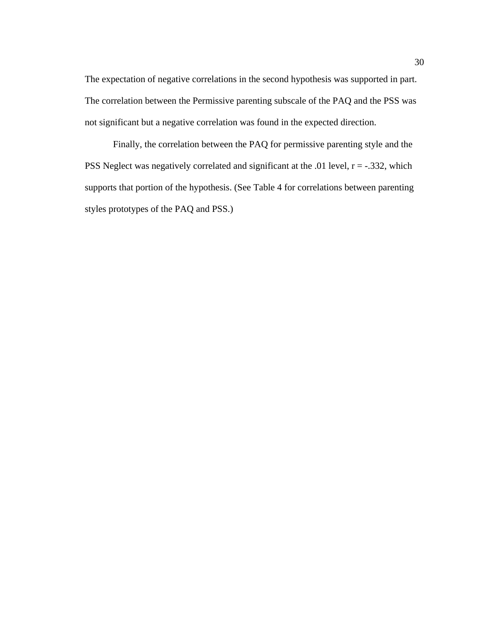The expectation of negative correlations in the second hypothesis was supported in part. The correlation between the Permissive parenting subscale of the PAQ and the PSS was not significant but a negative correlation was found in the expected direction.

 Finally, the correlation between the PAQ for permissive parenting style and the PSS Neglect was negatively correlated and significant at the .01 level,  $r = -.332$ , which supports that portion of the hypothesis. (See Table 4 for correlations between parenting styles prototypes of the PAQ and PSS.)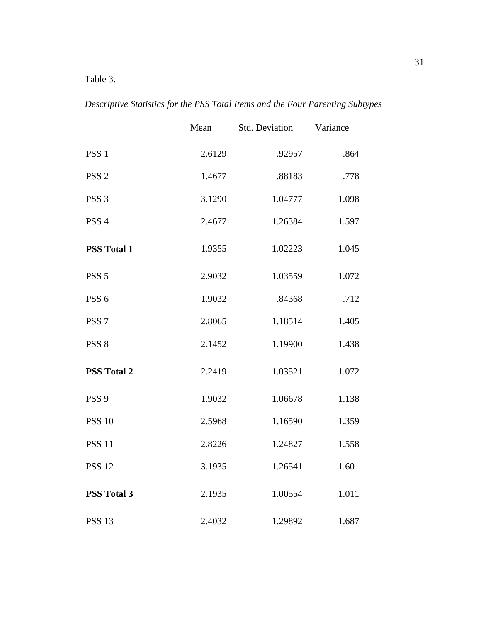# Table 3.

|                    | Mean   | Std. Deviation | Variance |
|--------------------|--------|----------------|----------|
| PSS <sub>1</sub>   | 2.6129 | .92957         | .864     |
| PSS <sub>2</sub>   | 1.4677 | .88183         | .778     |
| PSS <sub>3</sub>   | 3.1290 | 1.04777        | 1.098    |
| PSS <sub>4</sub>   | 2.4677 | 1.26384        | 1.597    |
| <b>PSS Total 1</b> | 1.9355 | 1.02223        | 1.045    |
| PSS <sub>5</sub>   | 2.9032 | 1.03559        | 1.072    |
| PSS <sub>6</sub>   | 1.9032 | .84368         | .712     |
| PSS <sub>7</sub>   | 2.8065 | 1.18514        | 1.405    |
| PSS <sub>8</sub>   | 2.1452 | 1.19900        | 1.438    |
| <b>PSS Total 2</b> | 2.2419 | 1.03521        | 1.072    |
| PSS <sub>9</sub>   | 1.9032 | 1.06678        | 1.138    |
| <b>PSS 10</b>      | 2.5968 | 1.16590        | 1.359    |
| <b>PSS 11</b>      | 2.8226 | 1.24827        | 1.558    |
| <b>PSS 12</b>      | 3.1935 | 1.26541        | 1.601    |
| <b>PSS Total 3</b> | 2.1935 | 1.00554        | 1.011    |
| <b>PSS 13</b>      | 2.4032 | 1.29892        | 1.687    |

*Descriptive Statistics for the PSS Total Items and the Four Parenting Subtypes*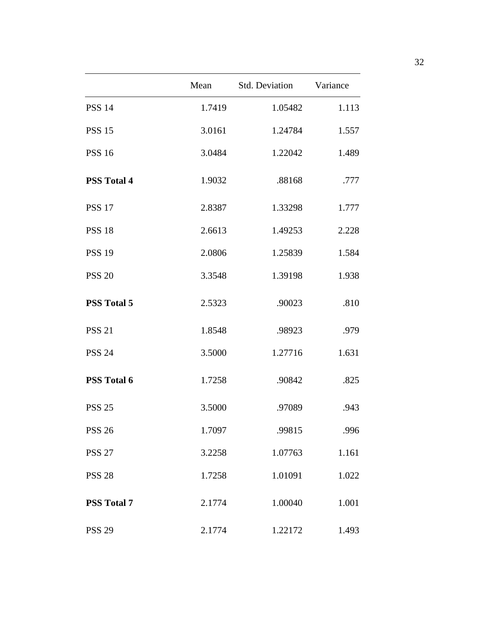|                    | Mean   | Std. Deviation | Variance |
|--------------------|--------|----------------|----------|
| <b>PSS 14</b>      | 1.7419 | 1.05482        | 1.113    |
| <b>PSS 15</b>      | 3.0161 | 1.24784        | 1.557    |
| <b>PSS 16</b>      | 3.0484 | 1.22042        | 1.489    |
| <b>PSS Total 4</b> | 1.9032 | .88168         | .777     |
| <b>PSS 17</b>      | 2.8387 | 1.33298        | 1.777    |
| <b>PSS 18</b>      | 2.6613 | 1.49253        | 2.228    |
| <b>PSS 19</b>      | 2.0806 | 1.25839        | 1.584    |
| <b>PSS 20</b>      | 3.3548 | 1.39198        | 1.938    |
| <b>PSS Total 5</b> | 2.5323 | .90023         | .810     |
| <b>PSS 21</b>      | 1.8548 | .98923         | .979     |
| <b>PSS 24</b>      | 3.5000 | 1.27716        | 1.631    |
| <b>PSS Total 6</b> | 1.7258 | .90842         | .825     |
| <b>PSS 25</b>      | 3.5000 | .97089         | .943     |
| <b>PSS 26</b>      | 1.7097 | .99815         | .996     |
| <b>PSS 27</b>      | 3.2258 | 1.07763        | 1.161    |
| <b>PSS 28</b>      | 1.7258 | 1.01091        | 1.022    |
| <b>PSS Total 7</b> | 2.1774 | 1.00040        | 1.001    |
| <b>PSS 29</b>      | 2.1774 | 1.22172        | 1.493    |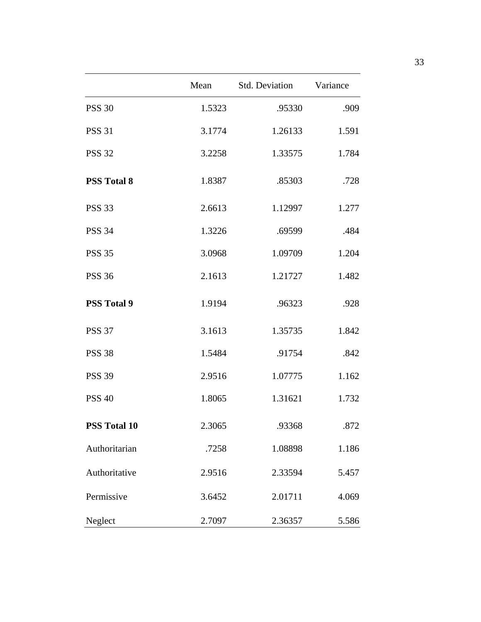|                     | Mean   | <b>Std. Deviation</b> | Variance |
|---------------------|--------|-----------------------|----------|
| <b>PSS 30</b>       | 1.5323 | .95330                | .909     |
| <b>PSS 31</b>       | 3.1774 | 1.26133               | 1.591    |
| <b>PSS 32</b>       | 3.2258 | 1.33575               | 1.784    |
| <b>PSS Total 8</b>  | 1.8387 | .85303                | .728     |
| <b>PSS 33</b>       | 2.6613 | 1.12997               | 1.277    |
| <b>PSS 34</b>       | 1.3226 | .69599                | .484     |
| <b>PSS 35</b>       | 3.0968 | 1.09709               | 1.204    |
| <b>PSS 36</b>       | 2.1613 | 1.21727               | 1.482    |
| <b>PSS Total 9</b>  | 1.9194 | .96323                | .928     |
| <b>PSS 37</b>       | 3.1613 | 1.35735               | 1.842    |
| <b>PSS 38</b>       | 1.5484 | .91754                | .842     |
| <b>PSS 39</b>       | 2.9516 | 1.07775               | 1.162    |
| <b>PSS 40</b>       | 1.8065 | 1.31621               | 1.732    |
| <b>PSS Total 10</b> | 2.3065 | .93368                | .872     |
| Authoritarian       | .7258  | 1.08898               | 1.186    |
| Authoritative       | 2.9516 | 2.33594               | 5.457    |
| Permissive          | 3.6452 | 2.01711               | 4.069    |
| Neglect             | 2.7097 | 2.36357               | 5.586    |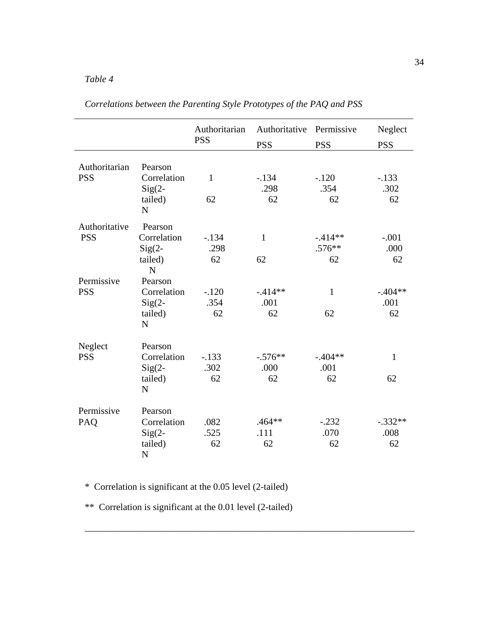## *Table 4*

|               |                | Authoritarian<br><b>PSS</b> | Authoritative<br><b>PSS</b> | Permissive<br><b>PSS</b> | Neglect<br><b>PSS</b> |
|---------------|----------------|-----------------------------|-----------------------------|--------------------------|-----------------------|
|               |                |                             |                             |                          |                       |
| Authoritarian | Pearson        |                             |                             |                          |                       |
| <b>PSS</b>    | Correlation    | $\mathbf{1}$                | $-.134$                     | $-.120$                  | $-.133$               |
|               | $Sig(2 -$      |                             | .298                        | .354                     | .302                  |
|               | tailed)        | 62                          | 62                          | 62                       | 62                    |
|               | N              |                             |                             |                          |                       |
| Authoritative | Pearson        |                             |                             |                          |                       |
| <b>PSS</b>    | Correlation    | $-.134$                     | $\mathbf{1}$                | $-414**$                 | $-.001$               |
|               | $Sig(2 -$      | .298                        |                             | $.576**$                 | .000                  |
|               | tailed)        | 62                          | 62                          | 62                       | 62                    |
|               | $\mathbf N$    |                             |                             |                          |                       |
| Permissive    | Pearson        |                             |                             |                          |                       |
| <b>PSS</b>    | Correlation    | $-.120$                     | $-414**$                    | $\mathbf{1}$             | $-.404**$             |
|               | $Sig(2 -$      | .354                        | .001                        |                          | .001                  |
|               | tailed)        | 62                          | 62                          | 62                       | 62                    |
|               | $\mathbf N$    |                             |                             |                          |                       |
|               |                |                             |                             |                          |                       |
| Neglect       | Pearson        |                             |                             |                          |                       |
| <b>PSS</b>    | Correlation    | $-.133$                     | $-.576**$                   | $-.404**$                | $\mathbf{1}$          |
|               | $Sig(2 -$      | .302                        | .000                        | .001                     |                       |
|               | tailed)        | 62                          | 62                          | 62                       | 62                    |
|               | $\overline{N}$ |                             |                             |                          |                       |
| Permissive    | Pearson        |                             |                             |                          |                       |
| PAQ           | Correlation    | .082                        | $.464**$                    | $-.232$                  | $-.332**$             |
|               | $Sig(2 -$      | .525                        | .111                        | .070                     | .008                  |
|               | tailed)        | 62                          | 62                          | 62                       | 62                    |
|               | $\mathbf N$    |                             |                             |                          |                       |
|               |                |                             |                             |                          |                       |

\_\_\_\_\_\_\_\_\_\_\_\_\_\_\_\_\_\_\_\_\_\_\_\_\_\_\_\_\_\_\_\_\_\_\_\_\_\_\_\_\_\_\_\_\_\_\_\_\_\_\_\_\_\_\_\_\_\_\_\_\_\_\_\_\_\_\_\_\_\_

*Correlations between the Parenting Style Prototypes of the PAQ and PSS* 

\* Correlation is significant at the 0.05 level (2-tailed)

\*\* Correlation is significant at the 0.01 level (2-tailed)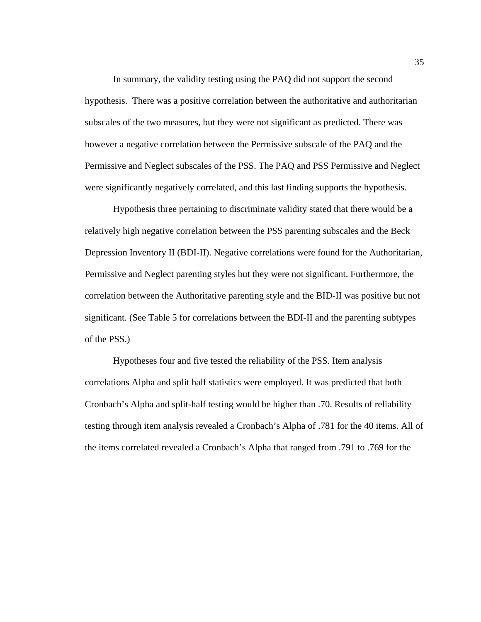In summary, the validity testing using the PAQ did not support the second hypothesis. There was a positive correlation between the authoritative and authoritarian subscales of the two measures, but they were not significant as predicted. There was however a negative correlation between the Permissive subscale of the PAQ and the Permissive and Neglect subscales of the PSS. The PAQ and PSS Permissive and Neglect were significantly negatively correlated, and this last finding supports the hypothesis.

Hypothesis three pertaining to discriminate validity stated that there would be a relatively high negative correlation between the PSS parenting subscales and the Beck Depression Inventory II (BDI-II). Negative correlations were found for the Authoritarian, Permissive and Neglect parenting styles but they were not significant. Furthermore, the correlation between the Authoritative parenting style and the BID-II was positive but not significant. (See Table 5 for correlations between the BDI-II and the parenting subtypes of the PSS.)

Hypotheses four and five tested the reliability of the PSS. Item analysis correlations Alpha and split half statistics were employed. It was predicted that both Cronbach's Alpha and split-half testing would be higher than .70. Results of reliability testing through item analysis revealed a Cronbach's Alpha of .781 for the 40 items. All of the items correlated revealed a Cronbach's Alpha that ranged from .791 to .769 for the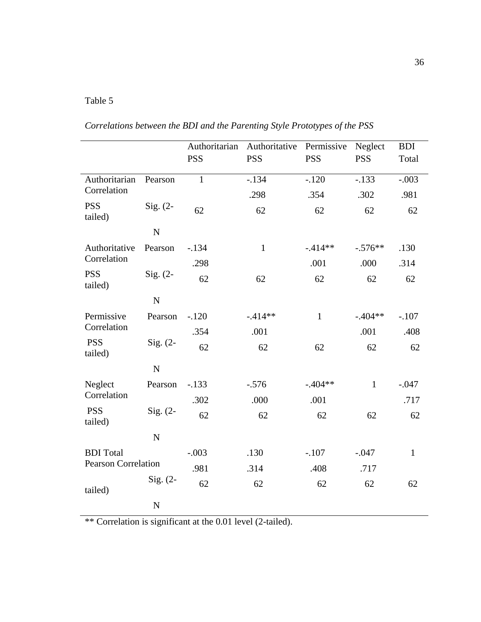# Table 5

| Correlations between the BDI and the Parenting Style Prototypes of the PSS |  |
|----------------------------------------------------------------------------|--|
|----------------------------------------------------------------------------|--|

|                            |             | Authoritarian<br><b>PSS</b> | Authoritative<br><b>PSS</b> | Permissive<br><b>PSS</b> | Neglect<br><b>PSS</b> | <b>BDI</b><br>Total |
|----------------------------|-------------|-----------------------------|-----------------------------|--------------------------|-----------------------|---------------------|
| Authoritarian              | Pearson     | $\mathbf{1}$                | $-.134$                     | $-.120$                  | $-.133$               | $-.003$             |
| Correlation                |             |                             | .298                        | .354                     | .302                  | .981                |
| <b>PSS</b><br>tailed)      | Sig. $(2-$  | 62                          | 62                          | 62                       | 62                    | 62                  |
|                            | $\mathbf N$ |                             |                             |                          |                       |                     |
| Authoritative              | Pearson     | $-.134$                     | $\mathbf{1}$                | $-.414**$                | $-.576**$             | .130                |
| Correlation                |             | .298                        |                             | .001                     | .000                  | .314                |
| <b>PSS</b><br>tailed)      | $Sig. (2-$  | 62                          | 62                          | 62                       | 62                    | 62                  |
|                            | ${\bf N}$   |                             |                             |                          |                       |                     |
| Permissive                 | Pearson     | $-.120$                     | $-.414**$                   | $\mathbf{1}$             | $-.404**$             | $-.107$             |
| Correlation                |             | .354                        | .001                        |                          | .001                  | .408                |
| <b>PSS</b><br>tailed)      | Sig. $(2-$  | 62                          | 62                          | 62                       | 62                    | 62                  |
|                            | $\mathbf N$ |                             |                             |                          |                       |                     |
| Neglect                    | Pearson     | $-.133$                     | $-.576$                     | $-.404**$                | $\mathbf{1}$          | $-.047$             |
| Correlation                |             | .302                        | .000                        | .001                     |                       | .717                |
| <b>PSS</b><br>tailed)      | Sig. $(2-$  | 62                          | 62                          | 62                       | 62                    | 62                  |
|                            | $\mathbf N$ |                             |                             |                          |                       |                     |
| <b>BDI</b> Total           |             | $-.003$                     | .130                        | $-.107$                  | $-.047$               | $\mathbf{1}$        |
| <b>Pearson Correlation</b> |             | .981                        | .314                        | .408                     | .717                  |                     |
| tailed)                    | $Sig. (2-$  | 62                          | 62                          | 62                       | 62                    | 62                  |
|                            | $\mathbf N$ |                             |                             |                          |                       |                     |

\*\* Correlation is significant at the 0.01 level (2-tailed).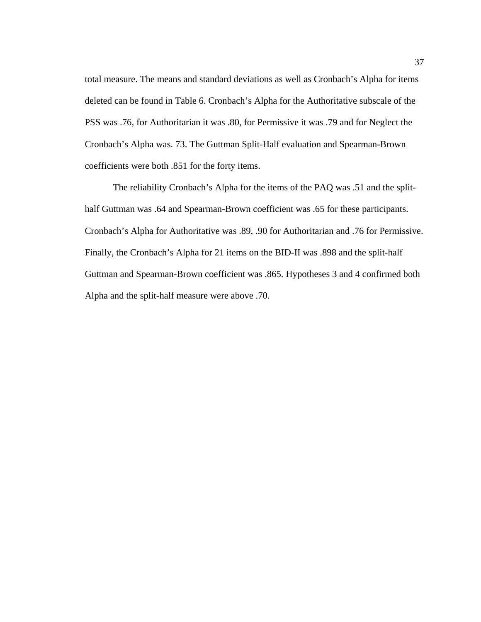total measure. The means and standard deviations as well as Cronbach's Alpha for items deleted can be found in Table 6. Cronbach's Alpha for the Authoritative subscale of the PSS was .76, for Authoritarian it was .80, for Permissive it was .79 and for Neglect the Cronbach's Alpha was. 73. The Guttman Split-Half evaluation and Spearman-Brown coefficients were both .851 for the forty items.

The reliability Cronbach's Alpha for the items of the PAQ was .51 and the splithalf Guttman was .64 and Spearman-Brown coefficient was .65 for these participants. Cronbach's Alpha for Authoritative was .89, .90 for Authoritarian and .76 for Permissive. Finally, the Cronbach's Alpha for 21 items on the BID-II was .898 and the split-half Guttman and Spearman-Brown coefficient was .865. Hypotheses 3 and 4 confirmed both Alpha and the split-half measure were above .70.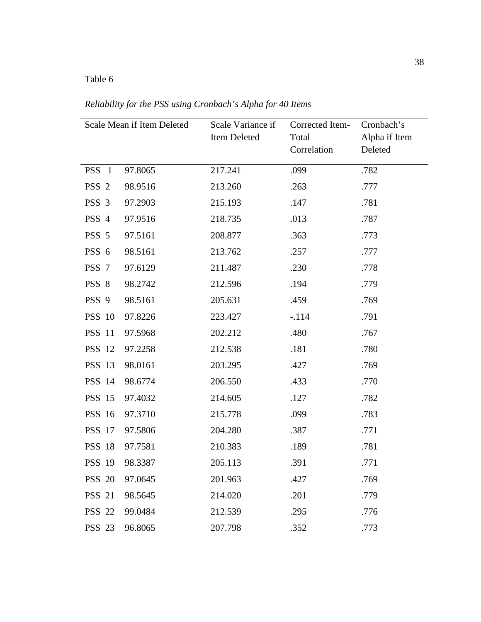## Table 6

Scale Mean if Item Deleted Scale Variance if Item Deleted Corrected Item-Total Correlation Cronbach's Alpha if Item Deleted PSS 1 97.8065 217.241 .099 .782 PSS 2 98.9516 213.260 .263 .777 PSS 3 97.2903 215.193 .147 .781 PSS 4 97.9516 218.735 .013 .787 PSS 5 97.5161 208.877 .363 .773 PSS 6 98.5161 213.762 .257 .777 PSS 7 97.6129 211.487 230 .778 PSS 8 98.2742 212.596 .194 .779 PSS 9 98.5161 205.631 .459 .769 PSS 10 97.8226 223.427 -.114 .791 PSS 11 97.5968 202.212 .480 .767 PSS 12 97.2258 212.538 .181 .780 PSS 13 98.0161 203.295 .427 .769 PSS 14 98.6774 206.550 .433 .770 PSS 15 97.4032 214.605 .127 .782 PSS 16 97.3710 215.778 .099 .783 PSS 17 97.5806 204.280 .387 .771 PSS 18 97.7581 210.383 .189 .781

*Reliability for the PSS using Cronbach's Alpha for 40 Items* 

|  | PSS 16 97.3710 | 215.778 | .099 | .783 |
|--|----------------|---------|------|------|
|  | PSS 17 97.5806 | 204.280 | .387 | .771 |
|  | PSS 18 97.7581 | 210.383 | .189 | .781 |
|  | PSS 19 98.3387 | 205.113 | .391 | .771 |
|  | PSS 20 97.0645 | 201.963 | .427 | .769 |
|  | PSS 21 98.5645 | 214.020 | .201 | .779 |
|  | PSS 22 99.0484 | 212.539 | .295 | .776 |
|  | PSS 23 96.8065 | 207.798 | .352 | .773 |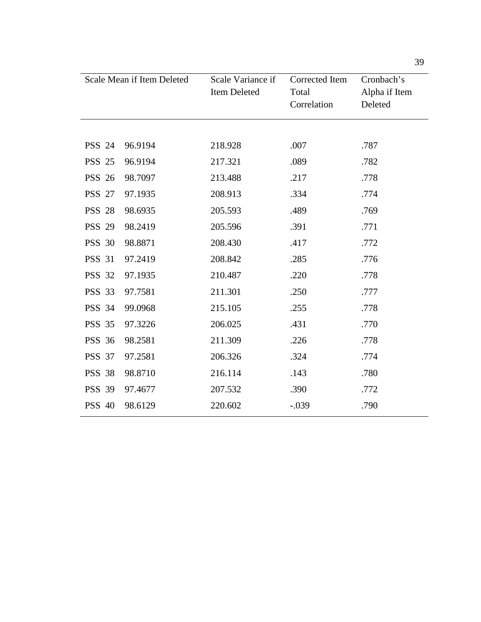|               | Scale Mean if Item Deleted | Scale Variance if<br>Item Deleted | Corrected Item<br>Total<br>Correlation | Cronbach's<br>Alpha if Item<br>Deleted |
|---------------|----------------------------|-----------------------------------|----------------------------------------|----------------------------------------|
|               |                            |                                   |                                        |                                        |
| <b>PSS 24</b> | 96.9194                    | 218.928                           | .007                                   | .787                                   |
| <b>PSS 25</b> | 96.9194                    | 217.321                           | .089                                   | .782                                   |
| <b>PSS 26</b> | 98.7097                    | 213.488                           | .217                                   | .778                                   |
| <b>PSS 27</b> | 97.1935                    | 208.913                           | .334                                   | .774                                   |
| <b>PSS 28</b> | 98.6935                    | 205.593                           | .489                                   | .769                                   |
| <b>PSS 29</b> | 98.2419                    | 205.596                           | .391                                   | .771                                   |
| <b>PSS 30</b> | 98.8871                    | 208.430                           | .417                                   | .772                                   |
| <b>PSS 31</b> | 97.2419                    | 208.842                           | .285                                   | .776                                   |
| <b>PSS 32</b> | 97.1935                    | 210.487                           | .220                                   | .778                                   |
| <b>PSS 33</b> | 97.7581                    | 211.301                           | .250                                   | .777                                   |
| <b>PSS 34</b> | 99.0968                    | 215.105                           | .255                                   | .778                                   |
| <b>PSS 35</b> | 97.3226                    | 206.025                           | .431                                   | .770                                   |
| <b>PSS 36</b> | 98.2581                    | 211.309                           | .226                                   | .778                                   |
| <b>PSS 37</b> | 97.2581                    | 206.326                           | .324                                   | .774                                   |
| <b>PSS 38</b> | 98.8710                    | 216.114                           | .143                                   | .780                                   |
| <b>PSS 39</b> | 97.4677                    | 207.532                           | .390                                   | .772                                   |
| <b>PSS 40</b> | 98.6129                    | 220.602                           | $-.039$                                | .790                                   |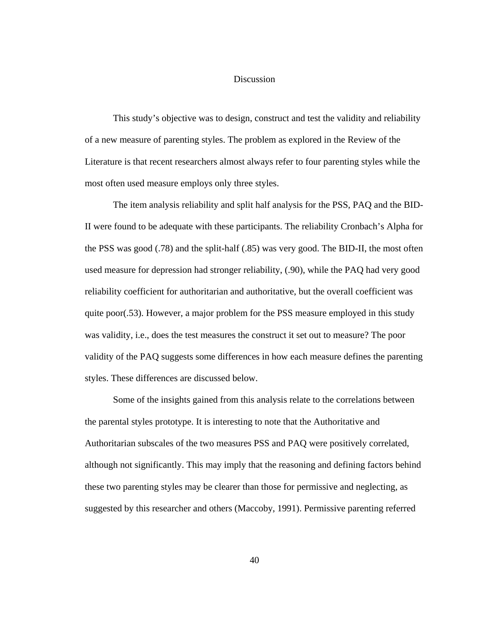#### Discussion

This study's objective was to design, construct and test the validity and reliability of a new measure of parenting styles. The problem as explored in the Review of the Literature is that recent researchers almost always refer to four parenting styles while the most often used measure employs only three styles.

The item analysis reliability and split half analysis for the PSS, PAQ and the BID-II were found to be adequate with these participants. The reliability Cronbach's Alpha for the PSS was good (.78) and the split-half (.85) was very good. The BID-II, the most often used measure for depression had stronger reliability, (.90), while the PAQ had very good reliability coefficient for authoritarian and authoritative, but the overall coefficient was quite poor(.53). However, a major problem for the PSS measure employed in this study was validity, i.e., does the test measures the construct it set out to measure? The poor validity of the PAQ suggests some differences in how each measure defines the parenting styles. These differences are discussed below.

Some of the insights gained from this analysis relate to the correlations between the parental styles prototype. It is interesting to note that the Authoritative and Authoritarian subscales of the two measures PSS and PAQ were positively correlated, although not significantly. This may imply that the reasoning and defining factors behind these two parenting styles may be clearer than those for permissive and neglecting, as suggested by this researcher and others (Maccoby, 1991). Permissive parenting referred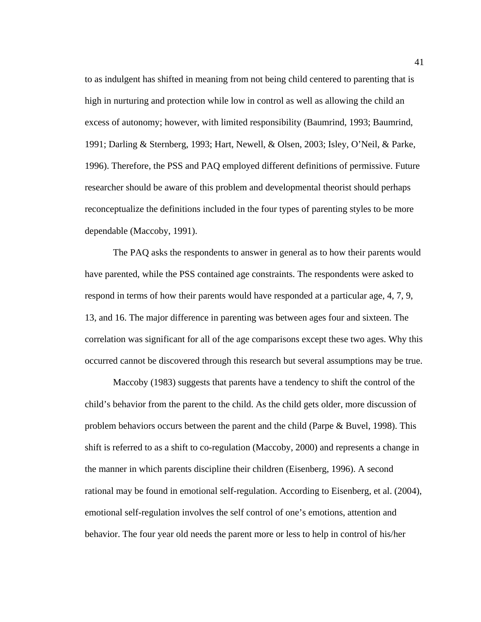to as indulgent has shifted in meaning from not being child centered to parenting that is high in nurturing and protection while low in control as well as allowing the child an excess of autonomy; however, with limited responsibility (Baumrind, 1993; Baumrind, 1991; Darling & Sternberg, 1993; Hart, Newell, & Olsen, 2003; Isley, O'Neil, & Parke, 1996). Therefore, the PSS and PAQ employed different definitions of permissive. Future researcher should be aware of this problem and developmental theorist should perhaps reconceptualize the definitions included in the four types of parenting styles to be more dependable (Maccoby, 1991).

The PAQ asks the respondents to answer in general as to how their parents would have parented, while the PSS contained age constraints. The respondents were asked to respond in terms of how their parents would have responded at a particular age, 4, 7, 9, 13, and 16. The major difference in parenting was between ages four and sixteen. The correlation was significant for all of the age comparisons except these two ages. Why this occurred cannot be discovered through this research but several assumptions may be true.

Maccoby (1983) suggests that parents have a tendency to shift the control of the child's behavior from the parent to the child. As the child gets older, more discussion of problem behaviors occurs between the parent and the child (Parpe & Buvel, 1998). This shift is referred to as a shift to co-regulation (Maccoby, 2000) and represents a change in the manner in which parents discipline their children (Eisenberg, 1996). A second rational may be found in emotional self-regulation. According to Eisenberg, et al. (2004), emotional self-regulation involves the self control of one's emotions, attention and behavior. The four year old needs the parent more or less to help in control of his/her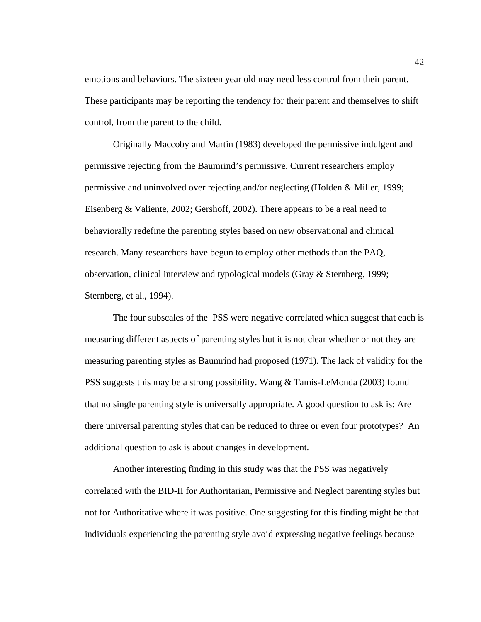emotions and behaviors. The sixteen year old may need less control from their parent. These participants may be reporting the tendency for their parent and themselves to shift control, from the parent to the child.

Originally Maccoby and Martin (1983) developed the permissive indulgent and permissive rejecting from the Baumrind's permissive. Current researchers employ permissive and uninvolved over rejecting and/or neglecting (Holden & Miller, 1999; Eisenberg & Valiente, 2002; Gershoff, 2002). There appears to be a real need to behaviorally redefine the parenting styles based on new observational and clinical research. Many researchers have begun to employ other methods than the PAQ, observation, clinical interview and typological models (Gray & Sternberg, 1999; Sternberg, et al., 1994).

The four subscales of the PSS were negative correlated which suggest that each is measuring different aspects of parenting styles but it is not clear whether or not they are measuring parenting styles as Baumrind had proposed (1971). The lack of validity for the PSS suggests this may be a strong possibility. Wang & Tamis-LeMonda (2003) found that no single parenting style is universally appropriate. A good question to ask is: Are there universal parenting styles that can be reduced to three or even four prototypes? An additional question to ask is about changes in development.

Another interesting finding in this study was that the PSS was negatively correlated with the BID-II for Authoritarian, Permissive and Neglect parenting styles but not for Authoritative where it was positive. One suggesting for this finding might be that individuals experiencing the parenting style avoid expressing negative feelings because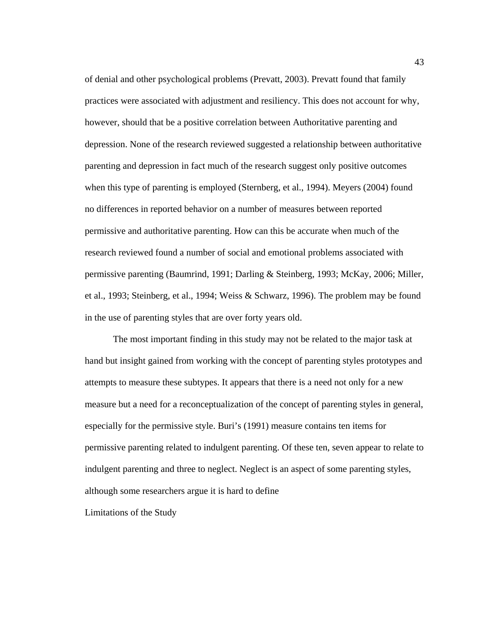of denial and other psychological problems (Prevatt, 2003). Prevatt found that family practices were associated with adjustment and resiliency. This does not account for why, however, should that be a positive correlation between Authoritative parenting and depression. None of the research reviewed suggested a relationship between authoritative parenting and depression in fact much of the research suggest only positive outcomes when this type of parenting is employed (Sternberg, et al., 1994). Meyers (2004) found no differences in reported behavior on a number of measures between reported permissive and authoritative parenting. How can this be accurate when much of the research reviewed found a number of social and emotional problems associated with permissive parenting (Baumrind, 1991; Darling & Steinberg, 1993; McKay, 2006; Miller, et al., 1993; Steinberg, et al., 1994; Weiss & Schwarz, 1996). The problem may be found in the use of parenting styles that are over forty years old.

The most important finding in this study may not be related to the major task at hand but insight gained from working with the concept of parenting styles prototypes and attempts to measure these subtypes. It appears that there is a need not only for a new measure but a need for a reconceptualization of the concept of parenting styles in general, especially for the permissive style. Buri's (1991) measure contains ten items for permissive parenting related to indulgent parenting. Of these ten, seven appear to relate to indulgent parenting and three to neglect. Neglect is an aspect of some parenting styles, although some researchers argue it is hard to define

Limitations of the Study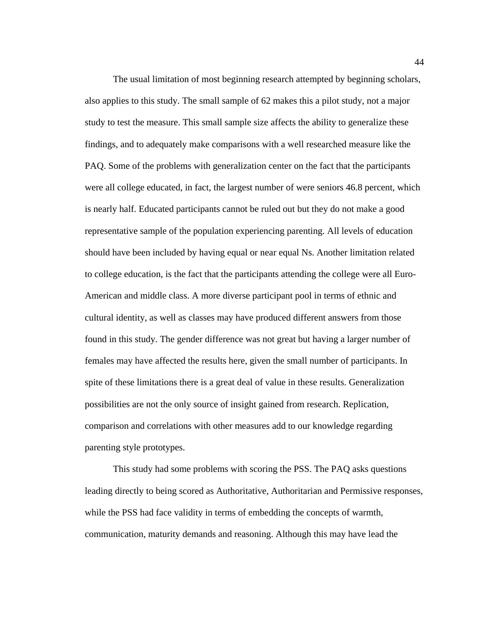The usual limitation of most beginning research attempted by beginning scholars, also applies to this study. The small sample of 62 makes this a pilot study, not a major study to test the measure. This small sample size affects the ability to generalize these findings, and to adequately make comparisons with a well researched measure like the PAQ. Some of the problems with generalization center on the fact that the participants were all college educated, in fact, the largest number of were seniors 46.8 percent, which is nearly half. Educated participants cannot be ruled out but they do not make a good representative sample of the population experiencing parenting. All levels of education should have been included by having equal or near equal Ns. Another limitation related to college education, is the fact that the participants attending the college were all Euro-American and middle class. A more diverse participant pool in terms of ethnic and cultural identity, as well as classes may have produced different answers from those found in this study. The gender difference was not great but having a larger number of females may have affected the results here, given the small number of participants. In spite of these limitations there is a great deal of value in these results. Generalization possibilities are not the only source of insight gained from research. Replication, comparison and correlations with other measures add to our knowledge regarding parenting style prototypes.

This study had some problems with scoring the PSS. The PAQ asks questions leading directly to being scored as Authoritative, Authoritarian and Permissive responses, while the PSS had face validity in terms of embedding the concepts of warmth, communication, maturity demands and reasoning. Although this may have lead the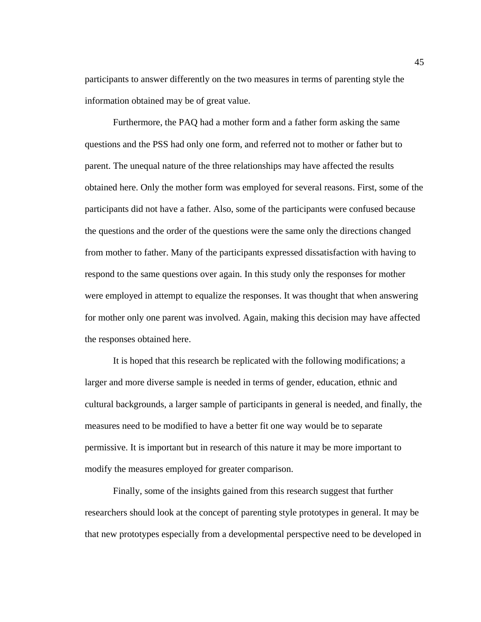participants to answer differently on the two measures in terms of parenting style the information obtained may be of great value.

Furthermore, the PAQ had a mother form and a father form asking the same questions and the PSS had only one form, and referred not to mother or father but to parent. The unequal nature of the three relationships may have affected the results obtained here. Only the mother form was employed for several reasons. First, some of the participants did not have a father. Also, some of the participants were confused because the questions and the order of the questions were the same only the directions changed from mother to father. Many of the participants expressed dissatisfaction with having to respond to the same questions over again. In this study only the responses for mother were employed in attempt to equalize the responses. It was thought that when answering for mother only one parent was involved. Again, making this decision may have affected the responses obtained here.

It is hoped that this research be replicated with the following modifications; a larger and more diverse sample is needed in terms of gender, education, ethnic and cultural backgrounds, a larger sample of participants in general is needed, and finally, the measures need to be modified to have a better fit one way would be to separate permissive. It is important but in research of this nature it may be more important to modify the measures employed for greater comparison.

Finally, some of the insights gained from this research suggest that further researchers should look at the concept of parenting style prototypes in general. It may be that new prototypes especially from a developmental perspective need to be developed in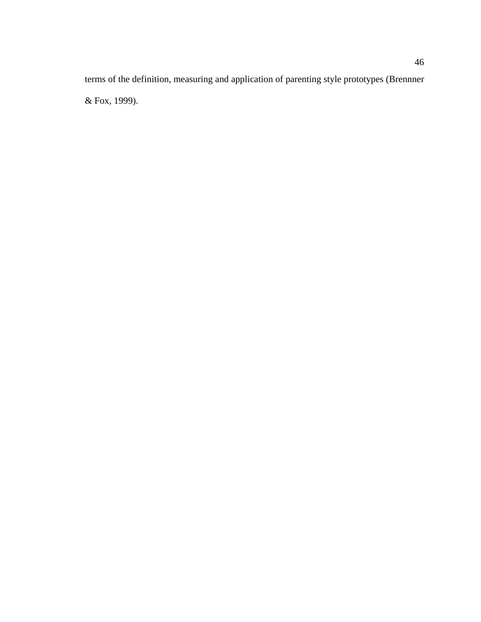terms of the definition, measuring and application of parenting style prototypes (Brennner & Fox, 1999).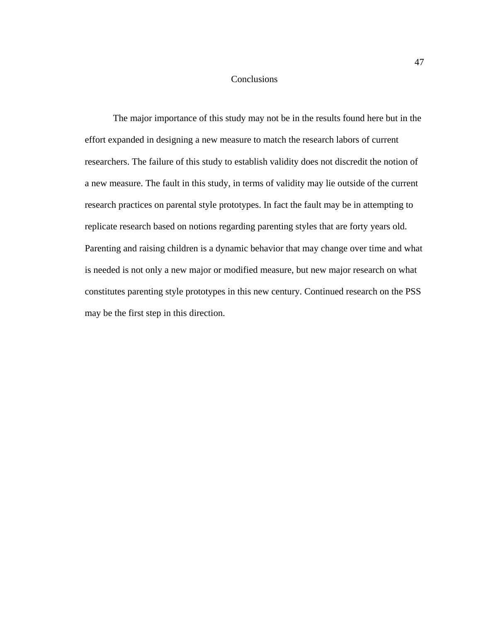### **Conclusions**

The major importance of this study may not be in the results found here but in the effort expanded in designing a new measure to match the research labors of current researchers. The failure of this study to establish validity does not discredit the notion of a new measure. The fault in this study, in terms of validity may lie outside of the current research practices on parental style prototypes. In fact the fault may be in attempting to replicate research based on notions regarding parenting styles that are forty years old. Parenting and raising children is a dynamic behavior that may change over time and what is needed is not only a new major or modified measure, but new major research on what constitutes parenting style prototypes in this new century. Continued research on the PSS may be the first step in this direction.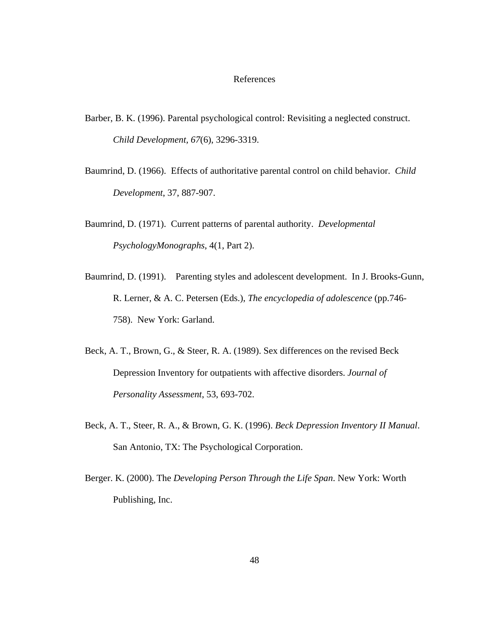#### References

- Barber, B. K. (1996). Parental psychological control: Revisiting a neglected construct. *Child Development, 67*(6), 3296-3319.
- Baumrind, D. (1966). Effects of authoritative parental control on child behavior. *Child Development*, 37, 887-907.
- Baumrind, D. (1971). Current patterns of parental authority. *Developmental PsychologyMonographs*, 4(1, Part 2).
- Baumrind, D. (1991). Parenting styles and adolescent development. In J. Brooks-Gunn, R. Lerner, & A. C. Petersen (Eds.), *The encyclopedia of adolescence* (pp.746- 758). New York: Garland.
- Beck, A. T., Brown, G., & Steer, R. A. (1989). Sex differences on the revised Beck Depression Inventory for outpatients with affective disorders. *Journal of Personality Assessment*, 53, 693-702.
- Beck, A. T., Steer, R. A., & Brown, G. K. (1996). *Beck Depression Inventory II Manual*. San Antonio, TX: The Psychological Corporation.
- Berger. K. (2000). The *Developing Person Through the Life Span*. New York: Worth Publishing, Inc.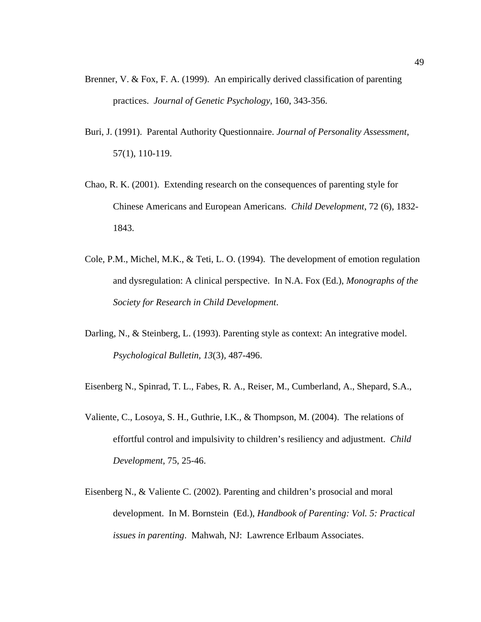- Brenner, V. & Fox, F. A. (1999). An empirically derived classification of parenting practices. *Journal of Genetic Psychology*, 160, 343-356.
- Buri, J. (1991). Parental Authority Questionnaire. *Journal of Personality Assessment*, 57(1), 110-119.
- Chao, R. K. (2001). Extending research on the consequences of parenting style for Chinese Americans and European Americans. *Child Development*, 72 (6), 1832- 1843.
- Cole, P.M., Michel, M.K., & Teti, L. O. (1994). The development of emotion regulation and dysregulation: A clinical perspective. In N.A. Fox (Ed.), *Monographs of the Society for Research in Child Development*.
- Darling, N., & Steinberg, L. (1993). Parenting style as context: An integrative model. *Psychological Bulletin, 13*(3)*,* 487-496.
- Eisenberg N., Spinrad, T. L., Fabes, R. A., Reiser, M., Cumberland, A., Shepard, S.A.,
- Valiente, C., Losoya, S. H., Guthrie, I.K., & Thompson, M. (2004). The relations of effortful control and impulsivity to children's resiliency and adjustment. *Child Development*, 75, 25-46.
- Eisenberg N., & Valiente C. (2002). Parenting and children's prosocial and moral development. In M. Bornstein (Ed.), *Handbook of Parenting: Vol. 5: Practical issues in parenting*. Mahwah, NJ: Lawrence Erlbaum Associates.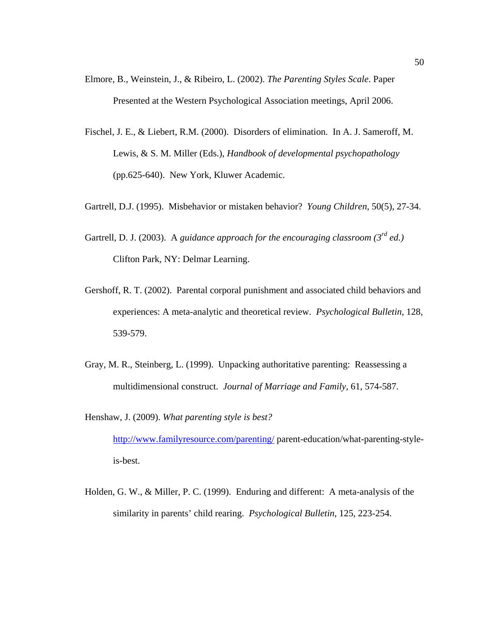- Elmore, B., Weinstein, J., & Ribeiro, L. (2002). *The Parenting Styles Scale*. Paper Presented at the Western Psychological Association meetings, April 2006.
- Fischel, J. E., & Liebert, R.M. (2000). Disorders of elimination. In A. J. Sameroff, M. Lewis, & S. M. Miller (Eds.), *Handbook of developmental psychopathology* (pp.625-640). New York, Kluwer Academic.
- Gartrell, D.J. (1995). Misbehavior or mistaken behavior? *Young Children*, 50(5), 27-34.
- Gartrell, D. J. (2003). A *guidance approach for the encouraging classroom (3rd ed.)* Clifton Park, NY: Delmar Learning.
- Gershoff, R. T. (2002). Parental corporal punishment and associated child behaviors and experiences: A meta-analytic and theoretical review. *Psychological Bulletin*, 128, 539-579.
- Gray, M. R., Steinberg, L. (1999). Unpacking authoritative parenting: Reassessing a multidimensional construct. *Journal of Marriage and Family*, 61, 574-587.

Henshaw, J. (2009). *What parenting style is best?*

http://www.familyresource.com/parenting/ parent-education/what-parenting-styleis-best.

Holden, G. W., & Miller, P. C. (1999). Enduring and different: A meta-analysis of the similarity in parents' child rearing. *Psychological Bulletin*, 125, 223-254.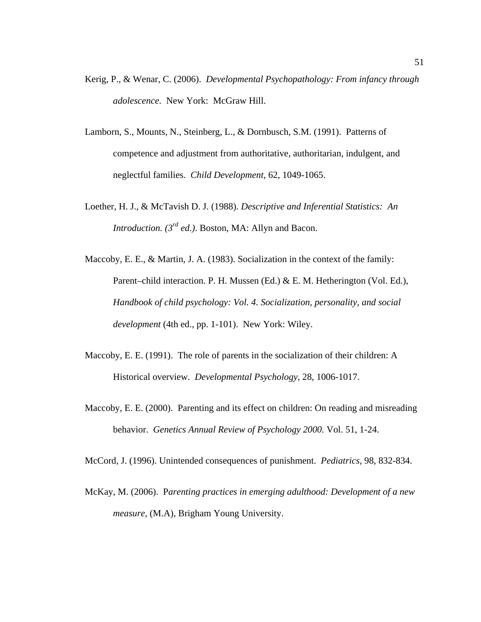- Kerig, P., & Wenar, C. (2006). *Developmental Psychopathology: From infancy through adolescence*. New York: McGraw Hill.
- Lamborn, S., Mounts, N., Steinberg, L., & Dornbusch, S.M. (1991). Patterns of competence and adjustment from authoritative, authoritarian, indulgent, and neglectful families. *Child Development*, 62, 1049-1065.
- Loether, H. J., & McTavish D. J. (1988). *Descriptive and Inferential Statistics: An Introduction. (3rd ed.)*. Boston, MA: Allyn and Bacon.
- Maccoby, E. E., & Martin, J. A. (1983). Socialization in the context of the family: Parent–child interaction. P. H. Mussen (Ed.) & E. M. Hetherington (Vol. Ed.), *Handbook of child psychology: Vol. 4. Socialization, personality, and social development* (4th ed., pp. 1-101). New York: Wiley.
- Maccoby, E. E. (1991). The role of parents in the socialization of their children: A Historical overview. *Developmental Psychology*, 28, 1006-1017.
- Maccoby, E. E. (2000). Parenting and its effect on children: On reading and misreading behavior. *Genetics Annual Review of Psychology 2000.* Vol. 51, 1-24.
- McCord, J. (1996). Unintended consequences of punishment. *Pediatrics*, 98, 832-834.
- McKay, M. (2006). P*arenting practices in emerging adulthood: Development of a new measure*, (M.A), Brigham Young University.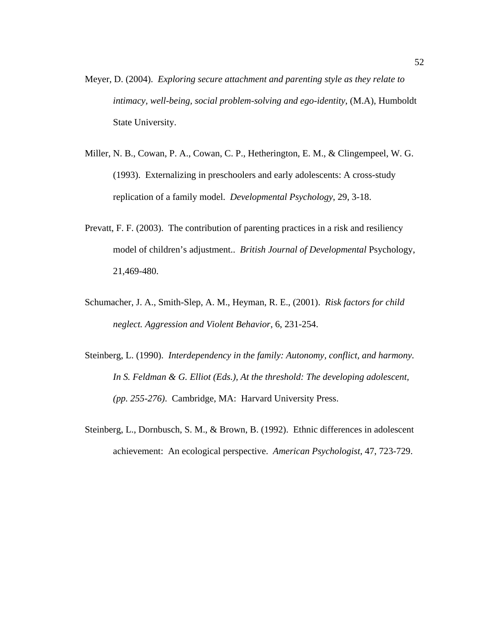- Meyer, D. (2004). *Exploring secure attachment and parenting style as they relate to intimacy, well-being, social problem-solving and ego-identity*, (M.A), Humboldt State University.
- Miller, N. B., Cowan, P. A., Cowan, C. P., Hetherington, E. M., & Clingempeel, W. G. (1993). Externalizing in preschoolers and early adolescents: A cross-study replication of a family model. *Developmental Psychology*, 29, 3-18.
- Prevatt, F. F. (2003). The contribution of parenting practices in a risk and resiliency model of children's adjustment.. *British Journal of Developmental* Psychology, 21,469-480.
- Schumacher, J. A., Smith-Slep, A. M., Heyman, R. E., (2001). *Risk factors for child neglect. Aggression and Violent Behavior*, 6, 231-254.
- Steinberg, L. (1990). *Interdependency in the family: Autonomy, conflict, and harmony. In S. Feldman & G. Elliot (Eds.), At the threshold: The developing adolescent, (pp. 255-276)*. Cambridge, MA: Harvard University Press.
- Steinberg, L., Dornbusch, S. M., & Brown, B. (1992). Ethnic differences in adolescent achievement: An ecological perspective. *American Psychologist*, 47, 723-729.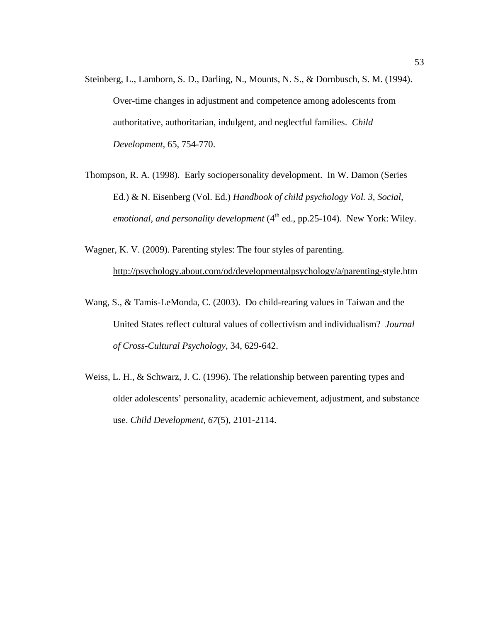- Steinberg, L., Lamborn, S. D., Darling, N., Mounts, N. S., & Dornbusch, S. M. (1994). Over-time changes in adjustment and competence among adolescents from authoritative, authoritarian, indulgent, and neglectful families. *Child Development*, 65, 754-770.
- Thompson, R. A. (1998). Early sociopersonality development. In W. Damon (Series Ed.) & N. Eisenberg (Vol. Ed.) *Handbook of child psychology Vol. 3, Social, emotional, and personality development* (4<sup>th</sup> ed., pp.25-104). New York: Wiley.
- Wagner, K. V. (2009). Parenting styles: The four styles of parenting. http://psychology.about.com/od/developmentalpsychology/a/parenting-style.htm
- Wang, S., & Tamis-LeMonda, C. (2003). Do child-rearing values in Taiwan and the United States reflect cultural values of collectivism and individualism? *Journal of Cross-Cultural Psychology*, 34, 629-642.
- Weiss, L. H., & Schwarz, J. C. (1996). The relationship between parenting types and older adolescents' personality, academic achievement, adjustment, and substance use. *Child Development, 67*(5), 2101-2114.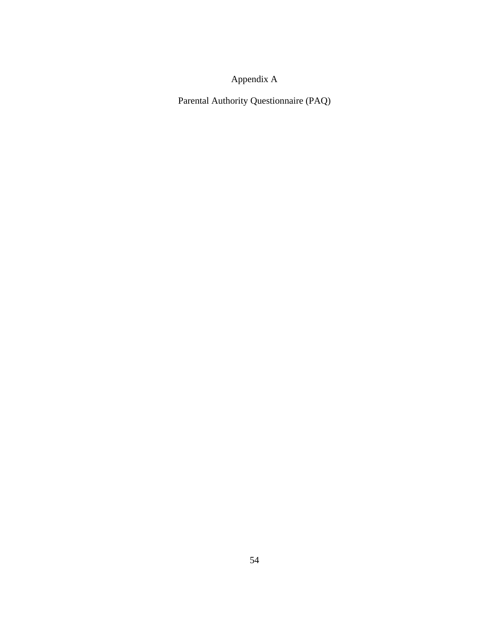# Appendix A

Parental Authority Questionnaire (PAQ)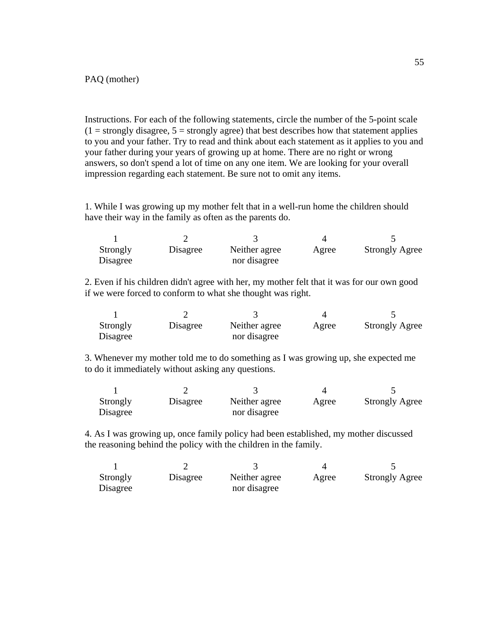Instructions. For each of the following statements, circle the number of the 5-point scale  $(1 =$  strongly disagree,  $5 =$  strongly agree) that best describes how that statement applies to you and your father. Try to read and think about each statement as it applies to you and your father during your years of growing up at home. There are no right or wrong answers, so don't spend a lot of time on any one item. We are looking for your overall impression regarding each statement. Be sure not to omit any items.

1. While I was growing up my mother felt that in a well-run home the children should have their way in the family as often as the parents do.

| Strongly | Disagree | Neither agree | Agree | <b>Strongly Agree</b> |
|----------|----------|---------------|-------|-----------------------|
| Disagree |          | nor disagree  |       |                       |

2. Even if his children didn't agree with her, my mother felt that it was for our own good if we were forced to conform to what she thought was right.

| Strongly | Disagree | Neither agree | Agree | <b>Strongly Agree</b> |
|----------|----------|---------------|-------|-----------------------|
| Disagree |          | nor disagree  |       |                       |

3. Whenever my mother told me to do something as I was growing up, she expected me to do it immediately without asking any questions.

| Strongly | Disagree | Neither agree | Agree | <b>Strongly Agree</b> |
|----------|----------|---------------|-------|-----------------------|
| Disagree |          | nor disagree  |       |                       |

4. As I was growing up, once family policy had been established, my mother discussed the reasoning behind the policy with the children in the family.

| Strongly<br>Disagree | Disagree | Neither agree<br>nor disagree | Agree | <b>Strongly Agree</b> |
|----------------------|----------|-------------------------------|-------|-----------------------|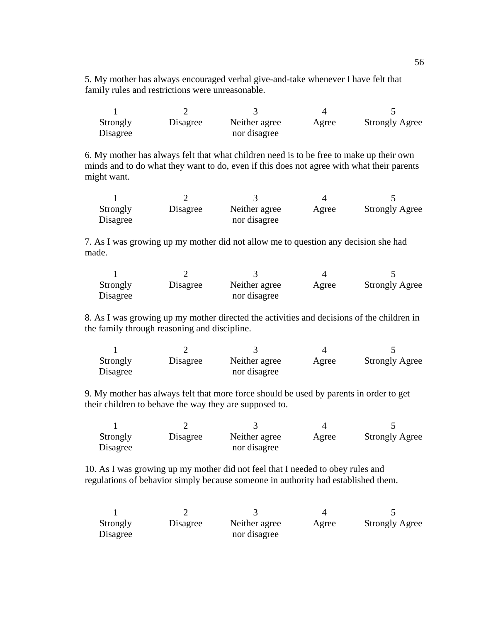5. My mother has always encouraged verbal give-and-take whenever I have felt that family rules and restrictions were unreasonable.

| Strongly<br>Disagree | Disagree | Neither agree<br>nor disagree | Agree | <b>Strongly Agree</b> |
|----------------------|----------|-------------------------------|-------|-----------------------|

6. My mother has always felt that what children need is to be free to make up their own minds and to do what they want to do, even if this does not agree with what their parents might want.

| Strongly | Disagree | Neither agree | Agree | <b>Strongly Agree</b> |
|----------|----------|---------------|-------|-----------------------|
| Disagree |          | nor disagree  |       |                       |

7. As I was growing up my mother did not allow me to question any decision she had made.

| Strongly | Disagree | Neither agree | Agree | <b>Strongly Agree</b> |
|----------|----------|---------------|-------|-----------------------|
| Disagree |          | nor disagree  |       |                       |

8. As I was growing up my mother directed the activities and decisions of the children in the family through reasoning and discipline.

| Strongly | Disagree | Neither agree | Agree | <b>Strongly Agree</b> |
|----------|----------|---------------|-------|-----------------------|
| Disagree |          | nor disagree  |       |                       |

9. My mother has always felt that more force should be used by parents in order to get their children to behave the way they are supposed to.

| Strongly | Disagree | Neither agree | Agree | <b>Strongly Agree</b> |
|----------|----------|---------------|-------|-----------------------|
| Disagree |          | nor disagree  |       |                       |

10. As I was growing up my mother did not feel that I needed to obey rules and regulations of behavior simply because someone in authority had established them.

| Strongly | Disagree | Neither agree | Agree | <b>Strongly Agree</b> |
|----------|----------|---------------|-------|-----------------------|
| Disagree |          | nor disagree  |       |                       |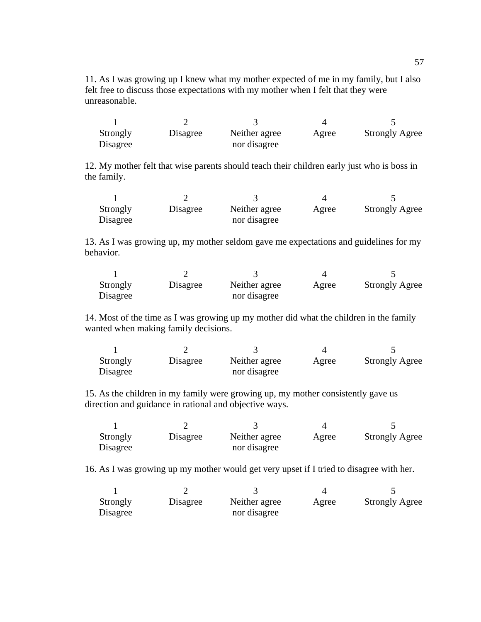11. As I was growing up I knew what my mother expected of me in my family, but I also felt free to discuss those expectations with my mother when I felt that they were unreasonable.

| Strongly<br>Disagree | Disagree | Neither agree<br>nor disagree | Agree | <b>Strongly Agree</b> |
|----------------------|----------|-------------------------------|-------|-----------------------|

12. My mother felt that wise parents should teach their children early just who is boss in the family.

| Strongly<br>Disagree | Disagree | Neither agree<br>nor disagree | Agree | <b>Strongly Agree</b> |
|----------------------|----------|-------------------------------|-------|-----------------------|

13. As I was growing up, my mother seldom gave me expectations and guidelines for my behavior.

| Strongly | Disagree | Neither agree | Agree | <b>Strongly Agree</b> |
|----------|----------|---------------|-------|-----------------------|
| Disagree |          | nor disagree  |       |                       |

14. Most of the time as I was growing up my mother did what the children in the family wanted when making family decisions.

| Strongly | Disagree | Neither agree | Agree | <b>Strongly Agree</b> |
|----------|----------|---------------|-------|-----------------------|
| Disagree |          | nor disagree  |       |                       |

15. As the children in my family were growing up, my mother consistently gave us direction and guidance in rational and objective ways.

| Strongly | Disagree | Neither agree | Agree | <b>Strongly Agree</b> |
|----------|----------|---------------|-------|-----------------------|
| Disagree |          | nor disagree  |       |                       |

16. As I was growing up my mother would get very upset if I tried to disagree with her.

| Strongly | Disagree | Neither agree | Agree | <b>Strongly Agree</b> |
|----------|----------|---------------|-------|-----------------------|
| Disagree |          | nor disagree  |       |                       |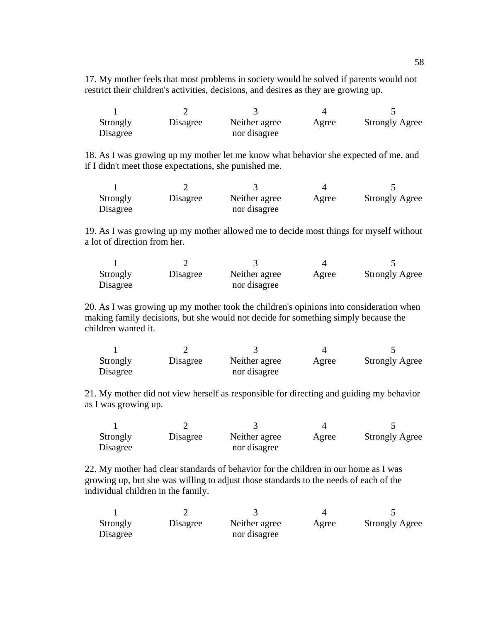17. My mother feels that most problems in society would be solved if parents would not restrict their children's activities, decisions, and desires as they are growing up.

| Strongly<br>Disagree | Disagree | Neither agree<br>nor disagree | Agree | <b>Strongly Agree</b> |
|----------------------|----------|-------------------------------|-------|-----------------------|

18. As I was growing up my mother let me know what behavior she expected of me, and if I didn't meet those expectations, she punished me.

| Strongly | Disagree | Neither agree | Agree | <b>Strongly Agree</b> |
|----------|----------|---------------|-------|-----------------------|
| Disagree |          | nor disagree  |       |                       |

19. As I was growing up my mother allowed me to decide most things for myself without a lot of direction from her.

| Strongly | Disagree | Neither agree | Agree | <b>Strongly Agree</b> |
|----------|----------|---------------|-------|-----------------------|
| Disagree |          | nor disagree  |       |                       |

20. As I was growing up my mother took the children's opinions into consideration when making family decisions, but she would not decide for something simply because the children wanted it.

| Strongly | Disagree | Neither agree | Agree | <b>Strongly Agree</b> |
|----------|----------|---------------|-------|-----------------------|
| Disagree |          | nor disagree  |       |                       |

21. My mother did not view herself as responsible for directing and guiding my behavior as I was growing up.

| Strongly | Disagree | Neither agree | Agree | <b>Strongly Agree</b> |
|----------|----------|---------------|-------|-----------------------|
| Disagree |          | nor disagree  |       |                       |

22. My mother had clear standards of behavior for the children in our home as I was growing up, but she was willing to adjust those standards to the needs of each of the individual children in the family.

| Strongly | Disagree | Neither agree | Agree | <b>Strongly Agree</b> |
|----------|----------|---------------|-------|-----------------------|
| Disagree |          | nor disagree  |       |                       |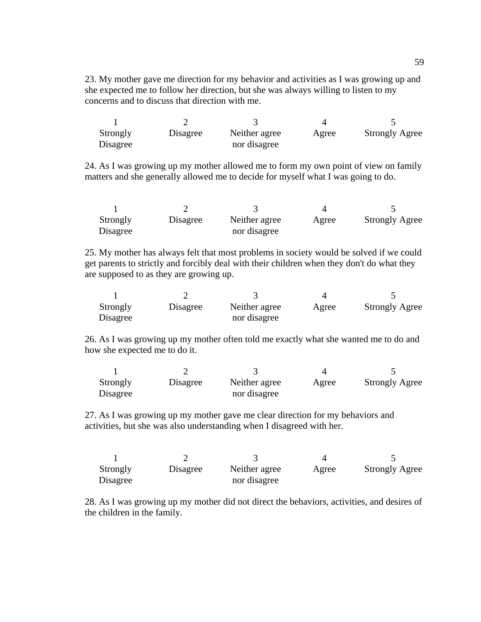23. My mother gave me direction for my behavior and activities as I was growing up and she expected me to follow her direction, but she was always willing to listen to my concerns and to discuss that direction with me.

| Strongly | Disagree | Neither agree | Agree | <b>Strongly Agree</b> |
|----------|----------|---------------|-------|-----------------------|
| Disagree |          | nor disagree  |       |                       |

24. As I was growing up my mother allowed me to form my own point of view on family matters and she generally allowed me to decide for myself what I was going to do.

| Strongly | Disagree | Neither agree | Agree | <b>Strongly Agree</b> |
|----------|----------|---------------|-------|-----------------------|
| Disagree |          | nor disagree  |       |                       |

25. My mother has always felt that most problems in society would be solved if we could get parents to strictly and forcibly deal with their children when they don't do what they are supposed to as they are growing up.

| Strongly | Disagree | Neither agree | Agree | <b>Strongly Agree</b> |
|----------|----------|---------------|-------|-----------------------|
| Disagree |          | nor disagree  |       |                       |

26. As I was growing up my mother often told me exactly what she wanted me to do and how she expected me to do it.

| Strongly | Disagree | Neither agree | Agree | <b>Strongly Agree</b> |
|----------|----------|---------------|-------|-----------------------|
| Disagree |          | nor disagree  |       |                       |

27. As I was growing up my mother gave me clear direction for my behaviors and activities, but she was also understanding when I disagreed with her.

| Strongly | Disagree | Neither agree | Agree | <b>Strongly Agree</b> |
|----------|----------|---------------|-------|-----------------------|
| Disagree |          | nor disagree  |       |                       |

28. As I was growing up my mother did not direct the behaviors, activities, and desires of the children in the family.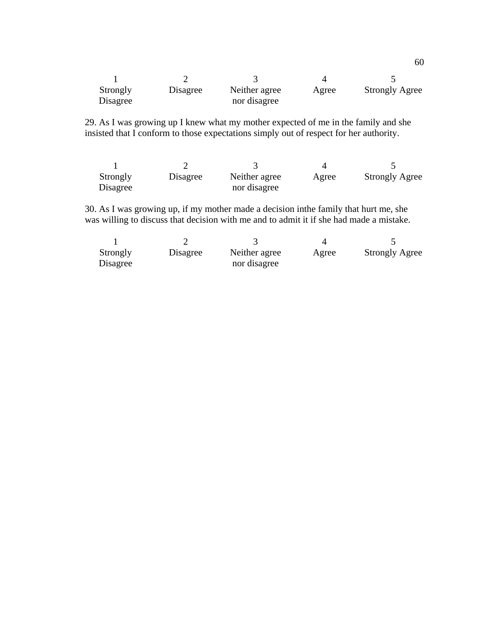| Strongly | Disagree | Neither agree | Agree | <b>Strongly Agree</b> |
|----------|----------|---------------|-------|-----------------------|
| Disagree |          | nor disagree  |       |                       |

29. As I was growing up I knew what my mother expected of me in the family and she insisted that I conform to those expectations simply out of respect for her authority.

| Strongly | Disagree | Neither agree | Agree | <b>Strongly Agree</b> |
|----------|----------|---------------|-------|-----------------------|
| Disagree |          | nor disagree  |       |                       |

30. As I was growing up, if my mother made a decision inthe family that hurt me, she was willing to discuss that decision with me and to admit it if she had made a mistake.

| Strongly | Disagree | Neither agree | Agree | <b>Strongly Agree</b> |
|----------|----------|---------------|-------|-----------------------|
| Disagree |          | nor disagree  |       |                       |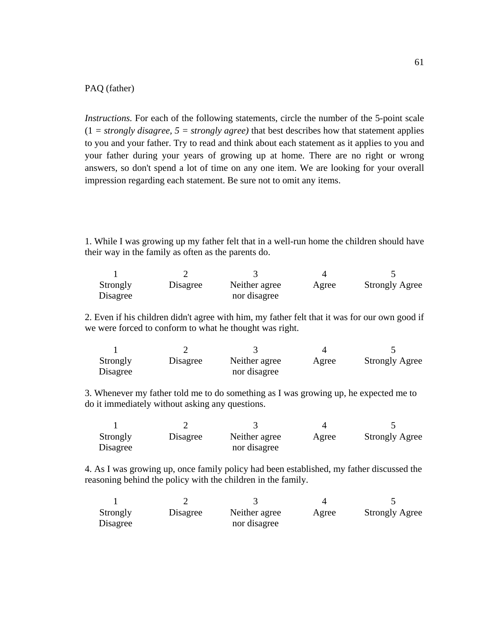### PAQ (father)

*Instructions.* For each of the following statements, circle the number of the 5-point scale  $(1 = strongly disagree, 5 = strongly agree)$  that best describes how that statement applies to you and your father. Try to read and think about each statement as it applies to you and your father during your years of growing up at home. There are no right or wrong answers, so don't spend a lot of time on any one item. We are looking for your overall impression regarding each statement. Be sure not to omit any items.

1. While I was growing up my father felt that in a well-run home the children should have their way in the family as often as the parents do.

| Strongly | Disagree | Neither agree | Agree | <b>Strongly Agree</b> |
|----------|----------|---------------|-------|-----------------------|
| Disagree |          | nor disagree  |       |                       |

2. Even if his children didn't agree with him, my father felt that it was for our own good if we were forced to conform to what he thought was right.

| Strongly | Disagree | Neither agree | Agree | <b>Strongly Agree</b> |
|----------|----------|---------------|-------|-----------------------|
| Disagree |          | nor disagree  |       |                       |

3. Whenever my father told me to do something as I was growing up, he expected me to do it immediately without asking any questions.

| Strongly<br>Disagree | Disagree | Neither agree<br>nor disagree | Agree | <b>Strongly Agree</b> |
|----------------------|----------|-------------------------------|-------|-----------------------|

4. As I was growing up, once family policy had been established, my father discussed the reasoning behind the policy with the children in the family.

| Strongly | Disagree | Neither agree | Agree | <b>Strongly Agree</b> |
|----------|----------|---------------|-------|-----------------------|
| Disagree |          | nor disagree  |       |                       |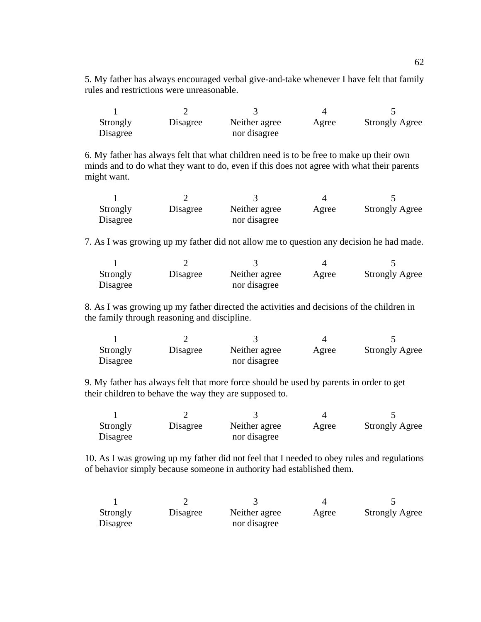5. My father has always encouraged verbal give-and-take whenever I have felt that family rules and restrictions were unreasonable.

| Strongly | Disagree | Neither agree | Agree | <b>Strongly Agree</b> |
|----------|----------|---------------|-------|-----------------------|
| Disagree |          | nor disagree  |       |                       |

6. My father has always felt that what children need is to be free to make up their own minds and to do what they want to do, even if this does not agree with what their parents might want.

| Strongly | Disagree | Neither agree | Agree | <b>Strongly Agree</b> |
|----------|----------|---------------|-------|-----------------------|
| Disagree |          | nor disagree  |       |                       |

7. As I was growing up my father did not allow me to question any decision he had made.

| Strongly | Disagree | Neither agree | Agree | <b>Strongly Agree</b> |
|----------|----------|---------------|-------|-----------------------|
| Disagree |          | nor disagree  |       |                       |

8. As I was growing up my father directed the activities and decisions of the children in the family through reasoning and discipline.

| Strongly | Disagree | Neither agree | Agree | <b>Strongly Agree</b> |
|----------|----------|---------------|-------|-----------------------|
| Disagree |          | nor disagree  |       |                       |

9. My father has always felt that more force should be used by parents in order to get their children to behave the way they are supposed to.

| Strongly<br>Disagree | Disagree | Neither agree<br>nor disagree | Agree | <b>Strongly Agree</b> |
|----------------------|----------|-------------------------------|-------|-----------------------|

10. As I was growing up my father did not feel that I needed to obey rules and regulations of behavior simply because someone in authority had established them.

| Strongly | Disagree | Neither agree | Agree | <b>Strongly Agree</b> |
|----------|----------|---------------|-------|-----------------------|
| Disagree |          | nor disagree  |       |                       |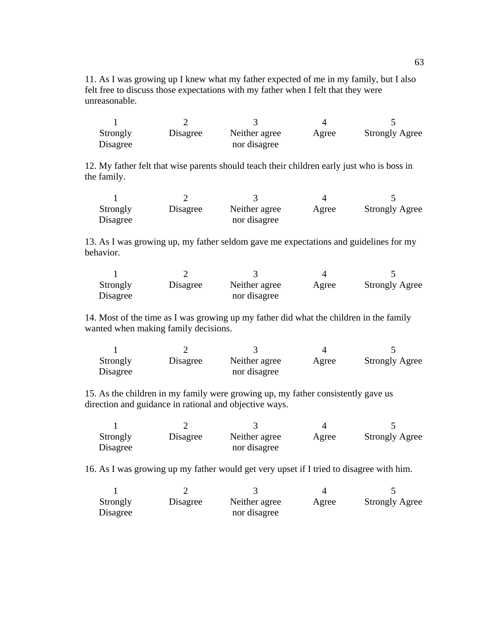11. As I was growing up I knew what my father expected of me in my family, but I also felt free to discuss those expectations with my father when I felt that they were unreasonable.

| Strongly<br>Disagree | Disagree | Neither agree<br>nor disagree | Agree | <b>Strongly Agree</b> |
|----------------------|----------|-------------------------------|-------|-----------------------|

12. My father felt that wise parents should teach their children early just who is boss in the family.

| Strongly | Disagree | Neither agree | Agree | <b>Strongly Agree</b> |
|----------|----------|---------------|-------|-----------------------|
| Disagree |          | nor disagree  |       |                       |

13. As I was growing up, my father seldom gave me expectations and guidelines for my behavior.

| Strongly | Disagree | Neither agree | Agree | <b>Strongly Agree</b> |
|----------|----------|---------------|-------|-----------------------|
| Disagree |          | nor disagree  |       |                       |

14. Most of the time as I was growing up my father did what the children in the family wanted when making family decisions.

| Strongly | Disagree | Neither agree | Agree | <b>Strongly Agree</b> |
|----------|----------|---------------|-------|-----------------------|
| Disagree |          | nor disagree  |       |                       |

15. As the children in my family were growing up, my father consistently gave us direction and guidance in rational and objective ways.

| Strongly | Disagree | Neither agree | Agree | <b>Strongly Agree</b> |
|----------|----------|---------------|-------|-----------------------|
| Disagree |          | nor disagree  |       |                       |

16. As I was growing up my father would get very upset if I tried to disagree with him.

| Strongly | Disagree | Neither agree | Agree | <b>Strongly Agree</b> |
|----------|----------|---------------|-------|-----------------------|
| Disagree |          | nor disagree  |       |                       |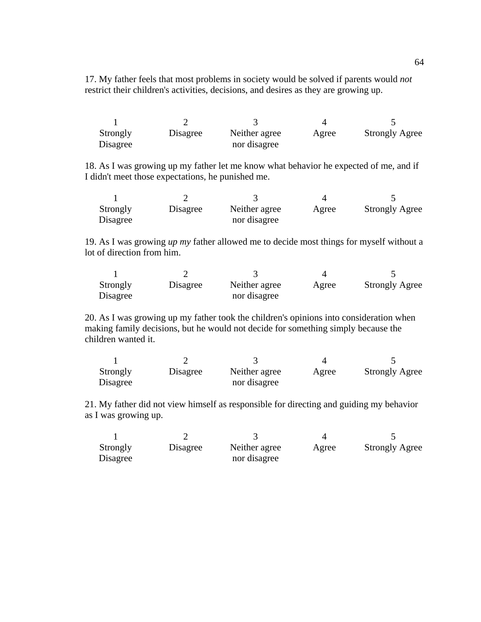17. My father feels that most problems in society would be solved if parents would *not*  restrict their children's activities, decisions, and desires as they are growing up.

| Strongly | Disagree | Neither agree | Agree | <b>Strongly Agree</b> |
|----------|----------|---------------|-------|-----------------------|
| Disagree |          | nor disagree  |       |                       |

18. As I was growing up my father let me know what behavior he expected of me, and if I didn't meet those expectations, he punished me.

| Strongly<br>Disagree | Disagree | Neither agree<br>nor disagree | Agree | <b>Strongly Agree</b> |
|----------------------|----------|-------------------------------|-------|-----------------------|

19. As I was growing *up my* father allowed me to decide most things for myself without a lot of direction from him.

| Strongly | Disagree | Neither agree | Agree | <b>Strongly Agree</b> |
|----------|----------|---------------|-------|-----------------------|
| Disagree |          | nor disagree  |       |                       |

20. As I was growing up my father took the children's opinions into consideration when making family decisions, but he would not decide for something simply because the children wanted it.

| Strongly | Disagree | Neither agree | Agree | <b>Strongly Agree</b> |
|----------|----------|---------------|-------|-----------------------|
| Disagree |          | nor disagree  |       |                       |

21. My father did not view himself as responsible for directing and guiding my behavior as I was growing up.

| Strongly | Disagree | Neither agree | Agree | <b>Strongly Agree</b> |
|----------|----------|---------------|-------|-----------------------|
| Disagree |          | nor disagree  |       |                       |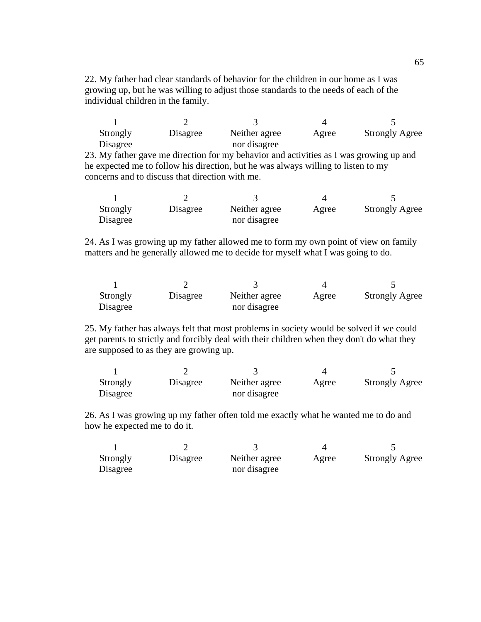22. My father had clear standards of behavior for the children in our home as I was growing up, but he was willing to adjust those standards to the needs of each of the individual children in the family.

| Strongly<br>Disagree | Disagree | Neither agree<br>nor disagree | Agree | <b>Strongly Agree</b> |
|----------------------|----------|-------------------------------|-------|-----------------------|

23. My father gave me direction for my behavior and activities as I was growing up and he expected me to follow his direction, but he was always willing to listen to my concerns and to discuss that direction with me.

| Strongly | Disagree | Neither agree | Agree | <b>Strongly Agree</b> |
|----------|----------|---------------|-------|-----------------------|
| Disagree |          | nor disagree  |       |                       |

24. As I was growing up my father allowed me to form my own point of view on family matters and he generally allowed me to decide for myself what I was going to do.

| Strongly | Disagree | Neither agree | Agree | <b>Strongly Agree</b> |
|----------|----------|---------------|-------|-----------------------|
| Disagree |          | nor disagree  |       |                       |

25. My father has always felt that most problems in society would be solved if we could get parents to strictly and forcibly deal with their children when they don't do what they are supposed to as they are growing up.

| Strongly | Disagree | Neither agree | Agree | <b>Strongly Agree</b> |
|----------|----------|---------------|-------|-----------------------|
| Disagree |          | nor disagree  |       |                       |

26. As I was growing up my father often told me exactly what he wanted me to do and how he expected me to do it.

| Strongly | Disagree | Neither agree | Agree | <b>Strongly Agree</b> |
|----------|----------|---------------|-------|-----------------------|
| Disagree |          | nor disagree  |       |                       |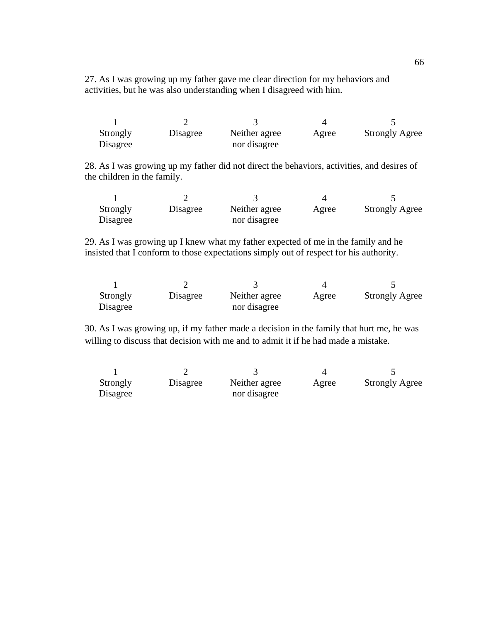27. As I was growing up my father gave me clear direction for my behaviors and activities, but he was also understanding when I disagreed with him.

| Strongly<br>Disagree | Disagree | Neither agree<br>nor disagree | Agree | <b>Strongly Agree</b> |
|----------------------|----------|-------------------------------|-------|-----------------------|

28. As I was growing up my father did not direct the behaviors, activities, and desires of the children in the family.

| Strongly<br>Disagree | Disagree | Neither agree<br>nor disagree | Agree | <b>Strongly Agree</b> |
|----------------------|----------|-------------------------------|-------|-----------------------|

29. As I was growing up I knew what my father expected of me in the family and he insisted that I conform to those expectations simply out of respect for his authority.

| Strongly<br>Disagree | Disagree | Neither agree<br>nor disagree | Agree | <b>Strongly Agree</b> |
|----------------------|----------|-------------------------------|-------|-----------------------|

30. As I was growing up, if my father made a decision in the family that hurt me, he was willing to discuss that decision with me and to admit it if he had made a mistake.

| Strongly | Disagree | Neither agree | Agree | <b>Strongly Agree</b> |
|----------|----------|---------------|-------|-----------------------|
| Disagree |          | nor disagree  |       |                       |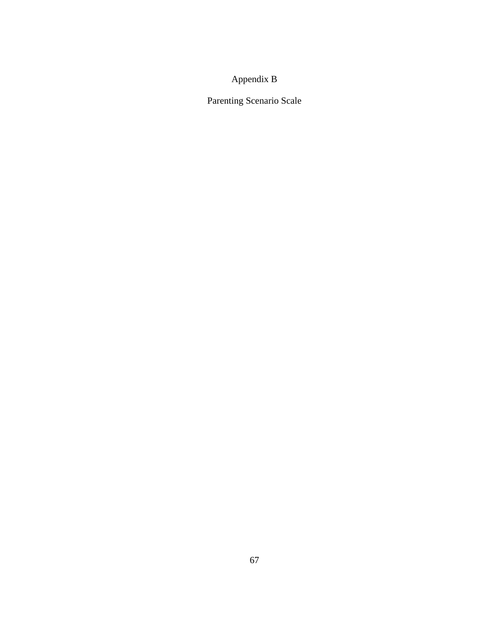## Appendix B

Parenting Scenario Scale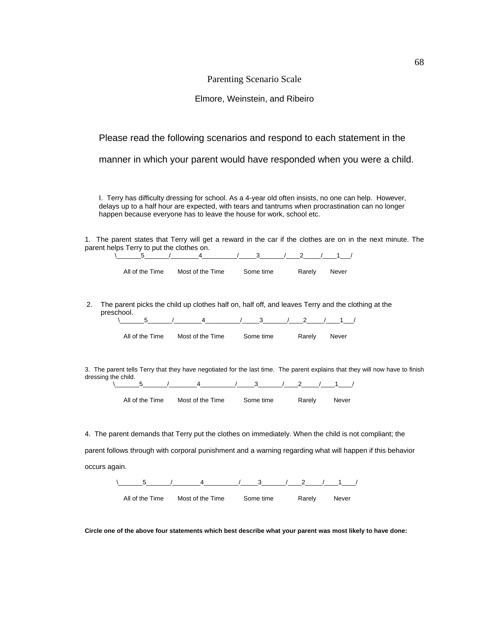### Parenting Scenario Scale

### Elmore, Weinstein, and Ribeiro

### Please read the following scenarios and respond to each statement in the

manner in which your parent would have responded when you were a child.

I. Terry has difficulty dressing for school. As a 4-year old often insists, no one can help. However, delays up to a half hour are expected, with tears and tantrums when procrastination can no longer happen because everyone has to leave the house for work, school etc.

1. The parent states that Terry will get a reward in the car if the clothes are on in the next minute. The parent helps Terry to put the clothes on.

|    | 5                        | 4                | 3         |                                                                                                                                   |
|----|--------------------------|------------------|-----------|-----------------------------------------------------------------------------------------------------------------------------------|
|    | All of the Time          | Most of the Time | Some time | Rarely<br>Never                                                                                                                   |
| 2. | preschool.<br>5          | 4                | 3         | The parent picks the child up clothes half on, half off, and leaves Terry and the clothing at the<br>2                            |
|    | All of the Time          | Most of the Time | Some time | Rarely<br>Never                                                                                                                   |
|    | dressing the child.<br>5 | 4                | 3         | 3. The parent tells Terry that they have negotiated for the last time. The parent explains that they will now have to finish<br>2 |
|    | All of the Time          | Most of the Time | Some time | Rarely<br>Never                                                                                                                   |
|    |                          |                  |           | 4. The parent demands that Terry put the clothes on immediately. When the child is not compliant; the                             |

parent follows through with corporal punishment and a warning regarding what will happen if this behavior occurs again.



**Circle one of the above four statements which best describe what your parent was most likely to have done:**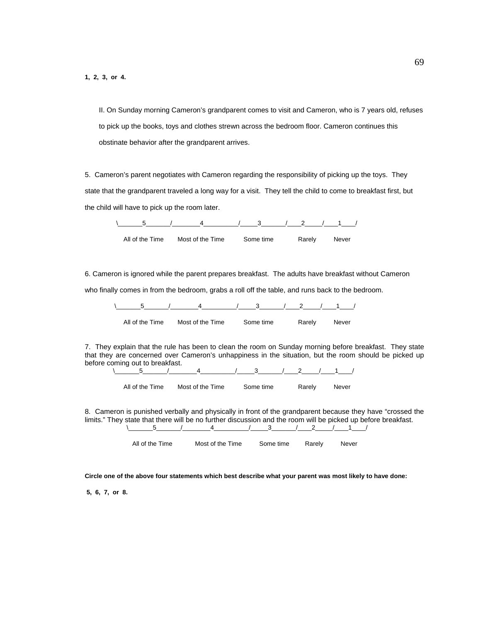II. On Sunday morning Cameron's grandparent comes to visit and Cameron, who is 7 years old, refuses to pick up the books, toys and clothes strewn across the bedroom floor. Cameron continues this obstinate behavior after the grandparent arrives.

5. Cameron's parent negotiates with Cameron regarding the responsibility of picking up the toys. They state that the grandparent traveled a long way for a visit. They tell the child to come to breakfast first, but the child will have to pick up the room later.

|  |                                            | 4 / 3 / 2 / 1 / |        |       |
|--|--------------------------------------------|-----------------|--------|-------|
|  | All of the Time Most of the Time Some time |                 | Rarely | Never |

6. Cameron is ignored while the parent prepares breakfast. The adults have breakfast without Cameron

who finally comes in from the bedroom, grabs a roll off the table, and runs back to the bedroom.

| All of the Time | Most of the Time | Some time | Rarely | Never |
|-----------------|------------------|-----------|--------|-------|

7. They explain that the rule has been to clean the room on Sunday morning before breakfast. They state that they are concerned over Cameron's unhappiness in the situation, but the room should be picked up before coming out to breakfast.  $\frac{5}{6}$  1 4  $\frac{1}{3}$  1 2  $\frac{1}{1}$ 

| All of the Time | Most of the Time | Some time | Rarely | Never |
|-----------------|------------------|-----------|--------|-------|

8. Cameron is punished verbally and physically in front of the grandparent because they have "crossed the limits." They state that there will be no further discussion and the room will be picked up before breakfast.  $\backslash$  5  $/$  4  $\longrightarrow$  3  $/$  2  $/$  1  $/$ 

| All of the Time | Most of the Time | Some time | Rarely | Never |
|-----------------|------------------|-----------|--------|-------|
|                 |                  |           |        |       |

**Circle one of the above four statements which best describe what your parent was most likely to have done:** 

 **5, 6, 7, or 8.**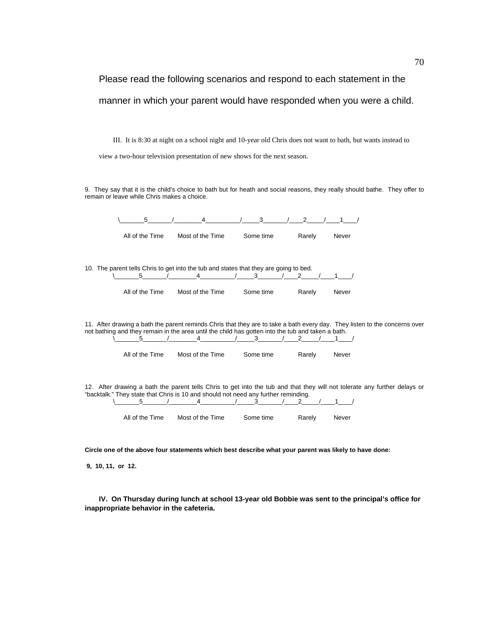Please read the following scenarios and respond to each statement in the manner in which your parent would have responded when you were a child.

III. It is 8:30 at night on a school night and 10-year old Chris does not want to bath, but wants instead to

view a two-hour television presentation of new shows for the next season.

9. They say that it is the child's choice to bath but for heath and social reasons, they really should bathe. They offer to remain or leave while Chris makes a choice.

| 5               | 4                                                                                                 | 3            | 2             |                                                                                                                            |
|-----------------|---------------------------------------------------------------------------------------------------|--------------|---------------|----------------------------------------------------------------------------------------------------------------------------|
| All of the Time | Most of the Time                                                                                  | Some time    | Rarely        | Never                                                                                                                      |
|                 |                                                                                                   |              |               |                                                                                                                            |
|                 | 10. The parent tells Chris to get into the tub and states that they are going to bed.             |              |               |                                                                                                                            |
| 5               | $\overline{4}$                                                                                    | $\mathbf{3}$ | 2             |                                                                                                                            |
| All of the Time | Most of the Time                                                                                  | Some time    | Rarely        | Never                                                                                                                      |
|                 |                                                                                                   |              |               |                                                                                                                            |
|                 |                                                                                                   |              |               | 11. After drawing a bath the parent reminds Chris that they are to take a bath every day. They listen to the concerns over |
|                 | not bathing and they remain in the area until the child has gotten into the tub and taken a bath. |              |               |                                                                                                                            |
| 5               | 4                                                                                                 | 3            | 2             |                                                                                                                            |
| All of the Time | Most of the Time                                                                                  | Some time    | Rarely        | Never                                                                                                                      |
|                 |                                                                                                   |              |               |                                                                                                                            |
|                 |                                                                                                   |              |               | 12. After drawing a bath the parent tells Chris to get into the tub and that they will not tolerate any further delays or  |
| 5               | "backtalk." They state that Chris is 10 and should not need any further reminding.<br>4           | 3            | $\mathcal{P}$ |                                                                                                                            |
| All of the Time | Most of the Time                                                                                  | Some time    | Rarely        | Never                                                                                                                      |
|                 |                                                                                                   |              |               |                                                                                                                            |

**Circle one of the above four statements which best describe what your parent was likely to have done:** 

 **9, 10, 11, or 12.** 

**IV. On Thursday during lunch at school 13-year old Bobbie was sent to the principal's office for inappropriate behavior in the cafeteria.**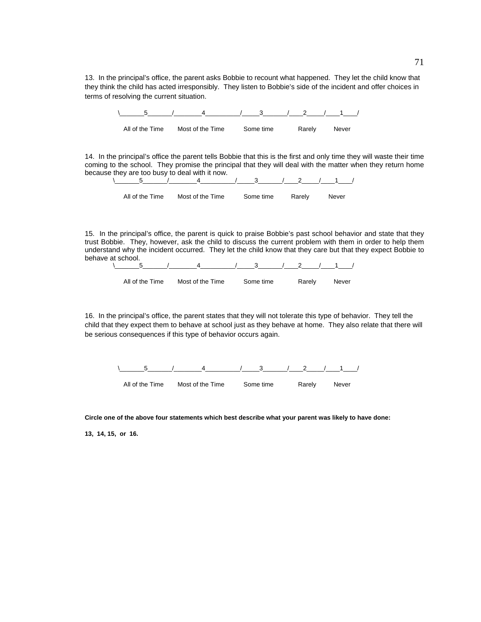13. In the principal's office, the parent asks Bobbie to recount what happened. They let the child know that they think the child has acted irresponsibly. They listen to Bobbie's side of the incident and offer choices in terms of resolving the current situation.

| $-5$ | $\frac{3}{2}$                                     | 2 / 1 |
|------|---------------------------------------------------|-------|
|      | All of the Time Most of the Time Some time Barely | Never |

14. In the principal's office the parent tells Bobbie that this is the first and only time they will waste their time coming to the school. They promise the principal that they will deal with the matter when they return home because they are too busy to deal with it now.<br> $\frac{5}{4}$ 



15. In the principal's office, the parent is quick to praise Bobbie's past school behavior and state that they trust Bobbie. They, however, ask the child to discuss the current problem with them in order to help them understand why the incident occurred. They let the child know that they care but that they expect Bobbie to behave at school.



| Most of the Time<br>All of the Time | Some time | Rarely | Never |
|-------------------------------------|-----------|--------|-------|
|-------------------------------------|-----------|--------|-------|

16. In the principal's office, the parent states that they will not tolerate this type of behavior. They tell the child that they expect them to behave at school just as they behave at home. They also relate that there will be serious consequences if this type of behavior occurs again.



**Circle one of the above four statements which best describe what your parent was likely to have done:** 

**13, 14, 15, or 16.**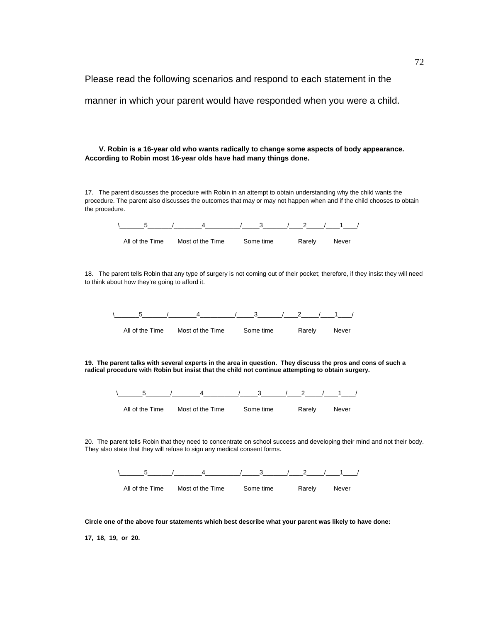Please read the following scenarios and respond to each statement in the manner in which your parent would have responded when you were a child.

**V. Robin is a 16-year old who wants radically to change some aspects of body appearance. According to Robin most 16-year olds have had many things done.** 

17. The parent discusses the procedure with Robin in an attempt to obtain understanding why the child wants the procedure. The parent also discusses the outcomes that may or may not happen when and if the child chooses to obtain the procedure.



18. The parent tells Robin that any type of surgery is not coming out of their pocket; therefore, if they insist they will need to think about how they're going to afford it.



**19. The parent talks with several experts in the area in question. They discuss the pros and cons of such a radical procedure with Robin but insist that the child not continue attempting to obtain surgery.** 



20. The parent tells Robin that they need to concentrate on school success and developing their mind and not their body. They also state that they will refuse to sign any medical consent forms.



**Circle one of the above four statements which best describe what your parent was likely to have done:** 

**17, 18, 19, or 20.**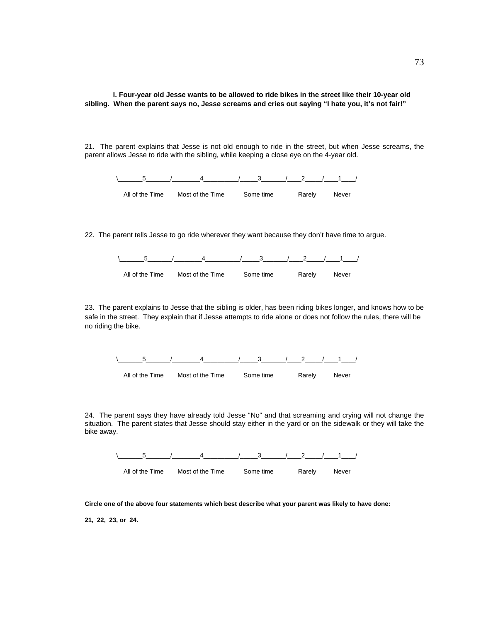**I. Four-year old Jesse wants to be allowed to ride bikes in the street like their 10-year old sibling. When the parent says no, Jesse screams and cries out saying "I hate you, it's not fair!"** 

21. The parent explains that Jesse is not old enough to ride in the street, but when Jesse screams, the parent allows Jesse to ride with the sibling, while keeping a close eye on the 4-year old.



22. The parent tells Jesse to go ride wherever they want because they don't have time to argue.



23. The parent explains to Jesse that the sibling is older, has been riding bikes longer, and knows how to be safe in the street. They explain that if Jesse attempts to ride alone or does not follow the rules, there will be no riding the bike.



24. The parent says they have already told Jesse "No" and that screaming and crying will not change the situation. The parent states that Jesse should stay either in the yard or on the sidewalk or they will take the bike away.



**Circle one of the above four statements which best describe what your parent was likely to have done:** 

**21, 22, 23, or 24.**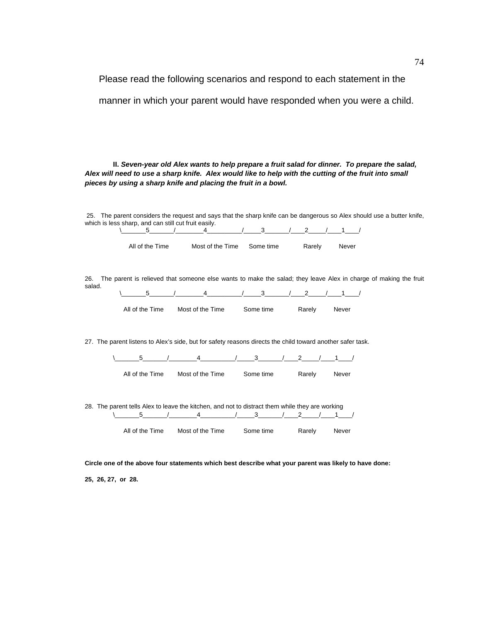Please read the following scenarios and respond to each statement in the

manner in which your parent would have responded when you were a child.

**II.** *Seven-year old Alex wants to help prepare a fruit salad for dinner. To prepare the salad, Alex will need to use a sharp knife. Alex would like to help with the cutting of the fruit into small pieces by using a sharp knife and placing the fruit in a bowl.*

 25. The parent considers the request and says that the sharp knife can be dangerous so Alex should use a butter knife, which is less sharp, and can still cut fruit easily. \\_\_\_\_\_\_\_5\_\_\_\_\_\_\_/\_\_\_\_\_\_\_\_4\_\_\_\_\_\_\_\_\_\_/\_\_\_\_\_3\_\_\_\_\_\_\_/\_\_\_\_2\_\_\_\_\_/\_\_\_\_1\_\_\_\_/ All of the Time Most of the Time Some time Rarely Never 26. The parent is relieved that someone else wants to make the salad; they leave Alex in charge of making the fruit salad. \\_\_\_\_\_\_\_5\_\_\_\_\_\_\_/\_\_\_\_\_\_\_\_4\_\_\_\_\_\_\_\_\_\_/\_\_\_\_\_3\_\_\_\_\_\_\_/\_\_\_\_2\_\_\_\_\_/\_\_\_\_1\_\_\_\_/ All of the Time Most of the Time Some time Rarely Never 27. The parent listens to Alex's side, but for safety reasons directs the child toward another safer task.  $\frac{1}{2}$   $\frac{1}{2}$   $\frac{1}{2}$   $\frac{1}{2}$   $\frac{1}{2}$ All of the Time Most of the Time Some time Rarely Never 28. The parent tells Alex to leave the kitchen, and not to distract them while they are working \\_\_\_\_\_\_\_5\_\_\_\_\_\_\_/\_\_\_\_\_\_\_\_4\_\_\_\_\_\_\_\_\_\_/\_\_\_\_\_3\_\_\_\_\_\_\_/\_\_\_\_2\_\_\_\_\_/\_\_\_\_1\_\_\_\_/ All of the Time Most of the Time Some time Rarely Never

**Circle one of the above four statements which best describe what your parent was likely to have done:** 

**25, 26, 27, or 28.**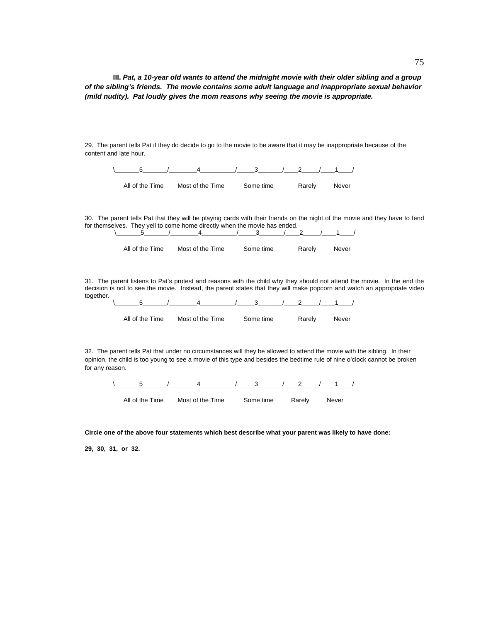**III.** *Pat, a 10-year old wants to attend the midnight movie with their older sibling and a group of the sibling's friends. The movie contains some adult language and inappropriate sexual behavior (mild nudity). Pat loudly gives the mom reasons why seeing the movie is appropriate.* 

29. The parent tells Pat if they do decide to go to the movie to be aware that it may be inappropriate because of the content and late hour.



30. The parent tells Pat that they will be playing cards with their friends on the night of the movie and they have to fend for themselves. They yell to come home directly when the movie has ended.

| All of the Time | Most of the Time | Some time | Rarely | Never |
|-----------------|------------------|-----------|--------|-------|
|                 |                  |           |        |       |

31. The parent listens to Pat's protest and reasons with the child why they should not attend the movie. In the end the decision is not to see the movie. Instead, the parent states that they will make popcorn and watch an appropriate video together.

 $\setminus$  5  $/$  4  $/$  3  $/$  2  $/$  1  $/$ All of the Time Most of the Time Some time Rarely Never

32. The parent tells Pat that under no circumstances will they be allowed to attend the movie with the sibling. In their opinion, the child is too young to see a movie of this type and besides the bedtime rule of nine o'clock cannot be broken for any reason.

 $\backslash$  5 / 4 / 3 / 2 / 1 / All of the Time Most of the Time Some time Rarely Never

**Circle one of the above four statements which best describe what your parent was likely to have done:** 

**29, 30, 31, or 32.**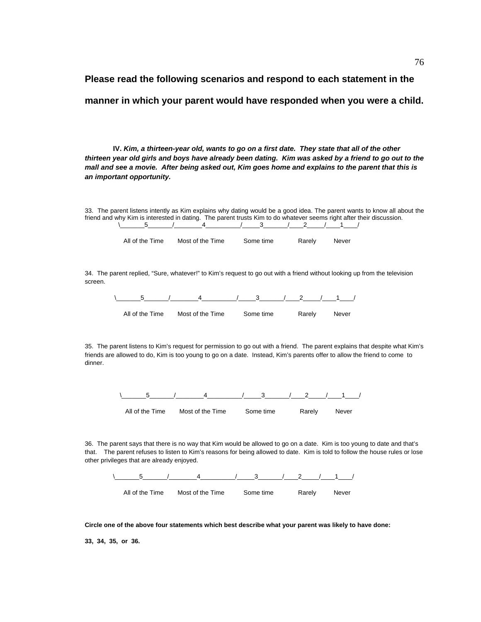# **Please read the following scenarios and respond to each statement in the manner in which your parent would have responded when you were a child.**

**IV.** *Kim, a thirteen-year old, wants to go on a first date. They state that all of the other thirteen year old girls and boys have already been dating. Kim was asked by a friend to go out to the mall and see a movie. After being asked out, Kim goes home and explains to the parent that this is an important opportunity.* 

33. The parent listens intently as Kim explains why dating would be a good idea. The parent wants to know all about the friend and why Kim is interested in dating. The parent trusts Kim to do whatever seems right after their discussion.  $\setminus$  5 / 4 / 3 / 2 / 1 /

| All of the Time | Most of the Time | Some time | Rarely | Never |
|-----------------|------------------|-----------|--------|-------|

34. The parent replied, "Sure, whatever!" to Kim's request to go out with a friend without looking up from the television screen.

| 5 |                                            | 4 / 3 / 2 / 1 / |              |  |
|---|--------------------------------------------|-----------------|--------------|--|
|   | All of the Time Most of the Time Some time |                 | Rarely Never |  |

35. The parent listens to Kim's request for permission to go out with a friend. The parent explains that despite what Kim's friends are allowed to do, Kim is too young to go on a date. Instead, Kim's parents offer to allow the friend to come to dinner.



36. The parent says that there is no way that Kim would be allowed to go on a date. Kim is too young to date and that's that. The parent refuses to listen to Kim's reasons for being allowed to date. Kim is told to follow the house rules or lose other privileges that are already enjoyed.



**Circle one of the above four statements which best describe what your parent was likely to have done:** 

**33, 34, 35, or 36.**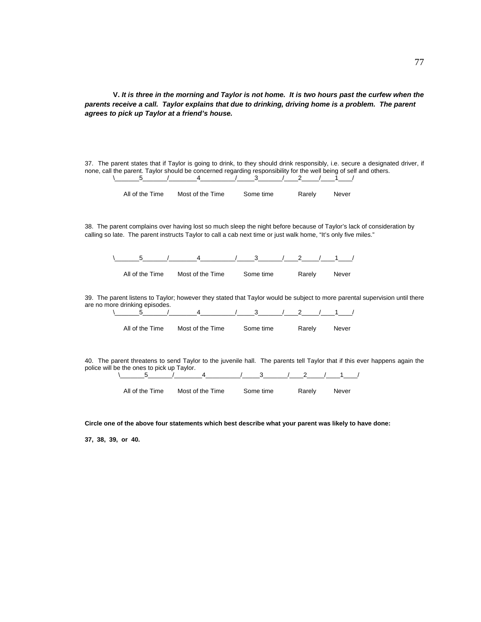**V.** *It is three in the morning and Taylor is not home. It is two hours past the curfew when the parents receive a call. Taylor explains that due to drinking, driving home is a problem. The parent agrees to pick up Taylor at a friend's house.* 

37. The parent states that if Taylor is going to drink, to they should drink responsibly, i.e. secure a designated driver, if none, call the parent. Taylor should be concerned regarding responsibility for the well being of self and others.  $\setminus$  5  $/$  4  $/$  3  $/$  2  $/$  1  $/$ 

| All of the Time | Most of the Time | Some time | Rarely | Never |
|-----------------|------------------|-----------|--------|-------|

38. The parent complains over having lost so much sleep the night before because of Taylor's lack of consideration by calling so late. The parent instructs Taylor to call a cab next time or just walk home, "It's only five miles."

 $\frac{5}{2}$   $\frac{1}{2}$   $\frac{4}{3}$   $\frac{3}{2}$   $\frac{2}{1}$  1

All of the Time Most of the Time Some time Rarely Never

39. The parent listens to Taylor; however they stated that Taylor would be subject to more parental supervision until there are no more drinking episodes.

| All of the Time | Most of the Time | Some time | Rarely | Never |
|-----------------|------------------|-----------|--------|-------|

40. The parent threatens to send Taylor to the juvenile hall. The parents tell Taylor that if this ever happens again the police will be the ones to pick up Taylor.

 $\frac{4}{\sqrt{3}}$   $\frac{3}{\sqrt{2}}$   $\frac{2}{\sqrt{1}}$ 

All of the Time Most of the Time Some time Rarely Never

**Circle one of the above four statements which best describe what your parent was likely to have done:** 

**37, 38, 39, or 40.**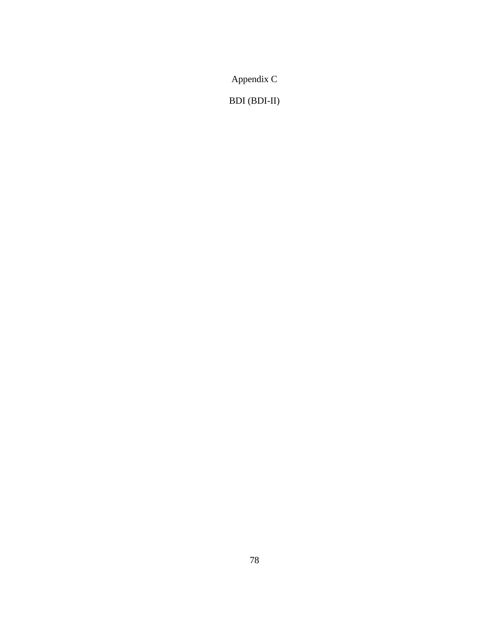Appendix C

BDI (BDI-II)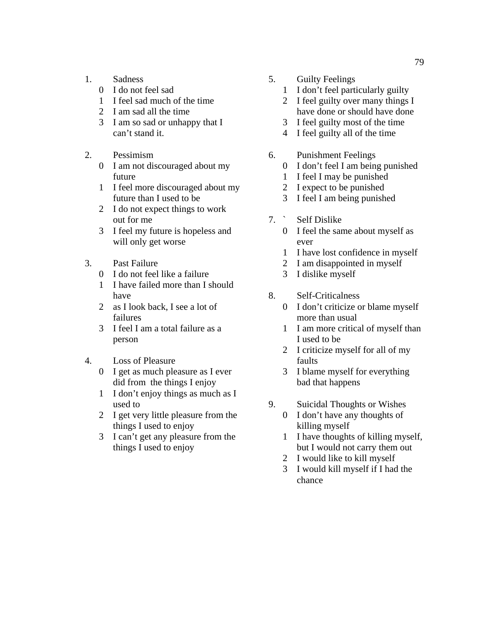- 1. Sadness
	- 0 I do not feel sad
	- 1 I feel sad much of the time
	- 2 I am sad all the time
	- 3 I am so sad or unhappy that I can't stand it.
- 2. Pessimism
	- 0 I am not discouraged about my future
	- 1 I feel more discouraged about my future than I used to be
	- 2 I do not expect things to work out for me
	- 3 I feel my future is hopeless and will only get worse
- 3. Past Failure
	- 0 I do not feel like a failure
	- 1 I have failed more than I should have
	- 2 as I look back, I see a lot of failures
	- 3 I feel I am a total failure as a person
- 4. Loss of Pleasure
	- 0 I get as much pleasure as I ever did from the things I enjoy
	- 1 I don't enjoy things as much as I used to
	- 2 I get very little pleasure from the things I used to enjoy
	- 3 I can't get any pleasure from the things I used to enjoy
- 5. Guilty Feelings
	- 1 I don't feel particularly guilty
	- 2 I feel guilty over many things I have done or should have done
	- 3 I feel guilty most of the time
	- 4 I feel guilty all of the time
- 6. Punishment Feelings
	- 0 I don't feel I am being punished
	- 1 I feel I may be punished
	- 2 I expect to be punished
	- 3 I feel I am being punished
- 7. ` Self Dislike
	- 0 I feel the same about myself as ever
	- 1 I have lost confidence in myself
	- 2 I am disappointed in myself
	- 3 I dislike myself
- 8. Self-Criticalness
	- 0 I don't criticize or blame myself more than usual
	- 1 I am more critical of myself than I used to be
	- 2 I criticize myself for all of my faults
	- 3 I blame myself for everything bad that happens
- 9. Suicidal Thoughts or Wishes
	- 0 I don't have any thoughts of killing myself
	- 1 I have thoughts of killing myself, but I would not carry them out
	- 2 I would like to kill myself
	- 3 I would kill myself if I had the chance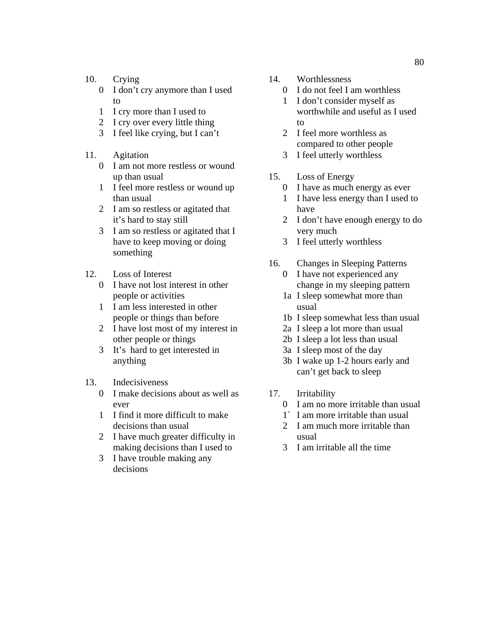- 10. Crying
	- 0 I don't cry anymore than I used to
	- 1 I cry more than I used to
	- 2 I cry over every little thing
	- 3 I feel like crying, but I can't
- 11. Agitation
	- 0 I am not more restless or wound up than usual
	- 1 I feel more restless or wound up than usual
	- 2 I am so restless or agitated that it's hard to stay still
	- 3 I am so restless or agitated that I have to keep moving or doing something
- 12. Loss of Interest
	- 0 I have not lost interest in other people or activities
	- 1 I am less interested in other people or things than before
	- 2 I have lost most of my interest in other people or things
	- 3 It's hard to get interested in anything
- 13. Indecisiveness
	- 0 I make decisions about as well as ever
	- 1 I find it more difficult to make decisions than usual
	- 2 I have much greater difficulty in making decisions than I used to
	- 3 I have trouble making any decisions
- 14. Worthlessness
	- 0 I do not feel I am worthless
	- 1 I don't consider myself as worthwhile and useful as I used to
	- 2 I feel more worthless as compared to other people
	- 3 I feel utterly worthless
- 15. Loss of Energy
	- 0 I have as much energy as ever
	- 1 I have less energy than I used to have
	- 2 I don't have enough energy to do very much
	- 3 I feel utterly worthless
- 16. Changes in Sleeping Patterns
	- 0 I have not experienced any change in my sleeping pattern
	- 1a I sleep somewhat more than usual
	- 1b I sleep somewhat less than usual
	- 2a I sleep a lot more than usual
	- 2b I sleep a lot less than usual
	- 3a I sleep most of the day
	- 3b I wake up 1-2 hours early and can't get back to sleep
- 17. Irritability
	- 0 I am no more irritable than usual
	- 1` I am more irritable than usual
	- 2 I am much more irritable than usual
	- 3 I am irritable all the time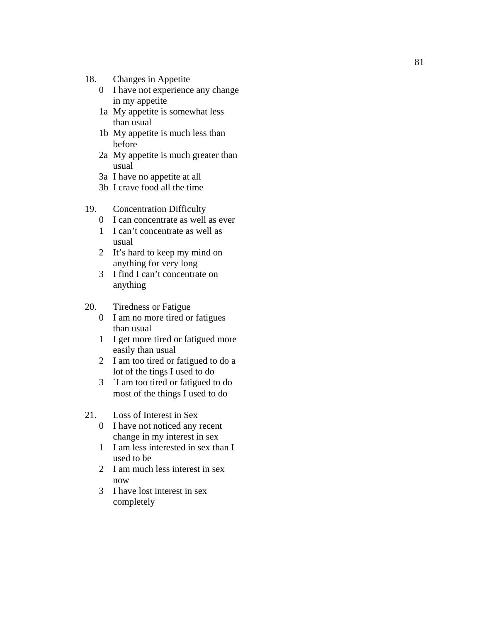- 18. Changes in Appetite
	- 0 I have not experience any change in my appetite
	- 1a My appetite is somewhat less than usual
	- 1b My appetite is much less than before
	- 2a My appetite is much greater than usual
	- 3a I have no appetite at all
	- 3b I crave food all the time
- 19. Concentration Difficulty
	- 0 I can concentrate as well as ever
	- 1 I can't concentrate as well as usual
	- 2 It's hard to keep my mind on anything for very long
	- 3 I find I can't concentrate on anything
- 20. Tiredness or Fatigue
	- 0 I am no more tired or fatigues than usual
	- 1 I get more tired or fatigued more easily than usual
	- 2 I am too tired or fatigued to do a lot of the tings I used to do
	- 3 `I am too tired or fatigued to do most of the things I used to do
- 21. Loss of Interest in Sex
	- 0 I have not noticed any recent change in my interest in sex
	- 1 I am less interested in sex than I used to be
	- 2 I am much less interest in sex now
	- 3 I have lost interest in sex completely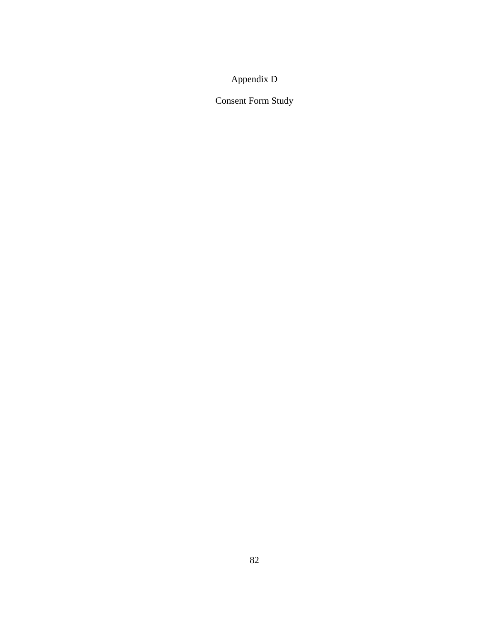## Appendix D

Consent Form Study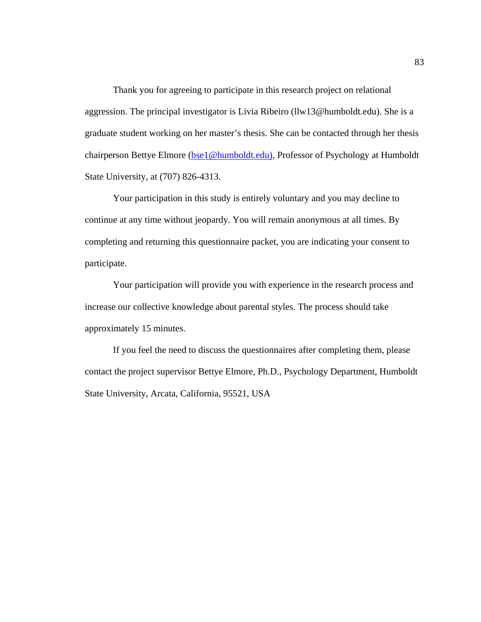Thank you for agreeing to participate in this research project on relational aggression. The principal investigator is Livia Ribeiro (llw13@humboldt.edu). She is a graduate student working on her master's thesis. She can be contacted through her thesis chairperson Bettye Elmore (bse1@humboldt.edu), Professor of Psychology at Humboldt State University, at (707) 826-4313.

Your participation in this study is entirely voluntary and you may decline to continue at any time without jeopardy. You will remain anonymous at all times. By completing and returning this questionnaire packet, you are indicating your consent to participate.

Your participation will provide you with experience in the research process and increase our collective knowledge about parental styles. The process should take approximately 15 minutes.

If you feel the need to discuss the questionnaires after completing them, please contact the project supervisor Bettye Elmore, Ph.D., Psychology Department, Humboldt State University, Arcata, California, 95521, USA